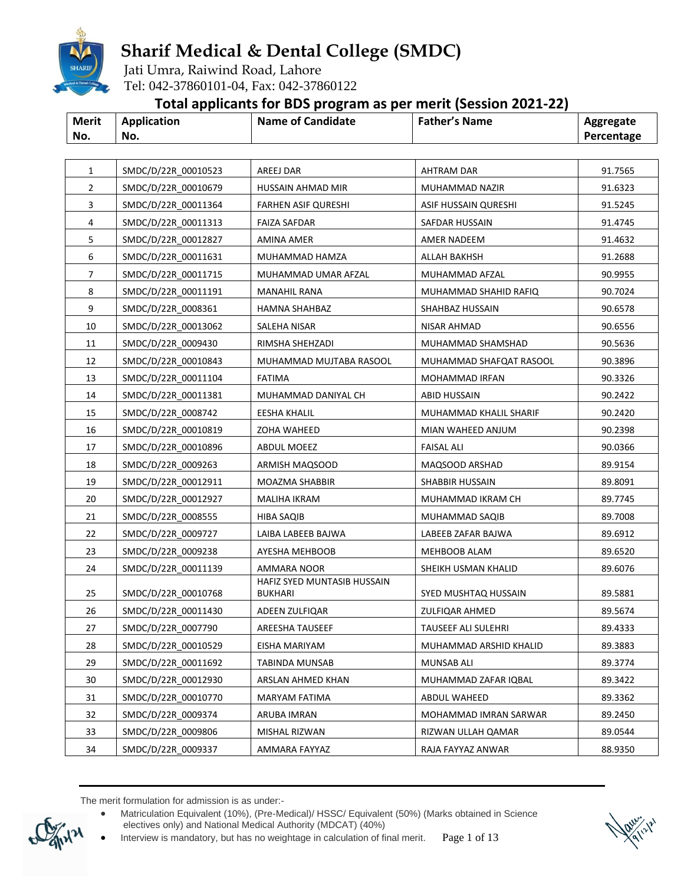

Jati Umra, Raiwind Road, Lahore Tel: 042-37860101-04, Fax: 042-37860122

### **Total applicants for BDS program as per merit (Session 2021-22)**

|              |             | . .                      |                      |            |
|--------------|-------------|--------------------------|----------------------|------------|
| <b>Merit</b> | Application | <b>Name of Candidate</b> | <b>Father's Name</b> | Aggregate  |
| No.          | No.         |                          |                      | Percentage |

| $\mathbf{1}$ | SMDC/D/22R_00010523 | AREEJ DAR                        | <b>AHTRAM DAR</b>       | 91.7565            |
|--------------|---------------------|----------------------------------|-------------------------|--------------------|
| 2            | SMDC/D/22R 00010679 | HUSSAIN AHMAD MIR                | MUHAMMAD NAZIR          | 91.6323            |
| 3            | SMDC/D/22R 00011364 | <b>FARHEN ASIF QURESHI</b>       | ASIF HUSSAIN QURESHI    | 91.5245            |
| 4            | SMDC/D/22R 00011313 | <b>FAIZA SAFDAR</b>              | SAFDAR HUSSAIN          | 91.4745            |
| 5            | SMDC/D/22R 00012827 | AMINA AMER                       | AMER NADEEM             | 91.4632            |
| 6            | SMDC/D/22R 00011631 | MUHAMMAD HAMZA                   | ALLAH BAKHSH            | 91.2688            |
| 7            | SMDC/D/22R 00011715 | MUHAMMAD UMAR AFZAL              | MUHAMMAD AFZAL          | 90.9955            |
| 8            | SMDC/D/22R 00011191 | <b>MANAHIL RANA</b>              | MUHAMMAD SHAHID RAFIQ   | 90.7024            |
| 9            | SMDC/D/22R 0008361  | HAMNA SHAHBAZ                    | SHAHBAZ HUSSAIN         | 90.6578            |
| 10           | SMDC/D/22R 00013062 | SALEHA NISAR                     | NISAR AHMAD             | 90.6556            |
| 11           | SMDC/D/22R 0009430  | RIMSHA SHEHZADI                  | MUHAMMAD SHAMSHAD       | 90.5636            |
| 12           | SMDC/D/22R 00010843 | MUHAMMAD MUJTABA RASOOL          | MUHAMMAD SHAFQAT RASOOL | 90.3896            |
| 13           | SMDC/D/22R_00011104 | FATIMA                           | MOHAMMAD IRFAN          | 90.3326            |
| 14           | SMDC/D/22R 00011381 | MUHAMMAD DANIYAL CH              | ABID HUSSAIN            | 90.2422            |
| 15           | SMDC/D/22R 0008742  | EESHA KHALIL                     | MUHAMMAD KHALIL SHARIF  | 90.2420            |
| 16           | SMDC/D/22R 00010819 | ZOHA WAHEED                      | MIAN WAHEED ANJUM       | 90.2398            |
| 17           | SMDC/D/22R 00010896 | ABDUL MOEEZ                      | FAISAL ALI              | 90.0366            |
| 18           | SMDC/D/22R_0009263  | ARMISH MAQSOOD                   | MAQSOOD ARSHAD          | 89.9154            |
| 19           | SMDC/D/22R 00012911 | MOAZMA SHABBIR                   | SHABBIR HUSSAIN         | 89.8091            |
| 20           | SMDC/D/22R 00012927 | MALIHA IKRAM                     | MUHAMMAD IKRAM CH       | 89.7745            |
| 21           | SMDC/D/22R 0008555  | HIBA SAQIB                       | MUHAMMAD SAQIB          | 89.7008            |
| 22           | SMDC/D/22R 0009727  | LAIBA LABEEB BAJWA               | LABEEB ZAFAR BAJWA      | 89.6912            |
| 23           | SMDC/D/22R_0009238  | AYESHA MEHBOOB                   | MEHBOOB ALAM            | 89.6520            |
| 24           | SMDC/D/22R_00011139 | AMMARA NOOR                      | SHEIKH USMAN KHALID     | 89.6076            |
| 25           | SMDC/D/22R 00010768 | HAFIZ SYED MUNTASIB HUSSAIN      | SYED MUSHTAQ HUSSAIN    |                    |
| 26           | SMDC/D/22R 00011430 | <b>BUKHARI</b><br>ADEEN ZULFIQAR | ZULFIQAR AHMED          | 89.5881<br>89.5674 |
| 27           | SMDC/D/22R 0007790  | <b>AREESHA TAUSEEF</b>           | TAUSEEF ALI SULEHRI     | 89.4333            |
| 28           | SMDC/D/22R 00010529 | EISHA MARIYAM                    | MUHAMMAD ARSHID KHALID  | 89.3883            |
|              |                     |                                  |                         |                    |
| 29<br>30     | SMDC/D/22R 00011692 | TABINDA MUNSAB                   | <b>MUNSAB ALI</b>       | 89.3774            |
|              | SMDC/D/22R 00012930 | ARSLAN AHMED KHAN                | MUHAMMAD ZAFAR IQBAL    | 89.3422            |
| 31           | SMDC/D/22R 00010770 | MARYAM FATIMA                    | ABDUL WAHEED            | 89.3362            |
| 32           | SMDC/D/22R 0009374  | ARUBA IMRAN                      | MOHAMMAD IMRAN SARWAR   | 89.2450            |
| 33           | SMDC/D/22R 0009806  | MISHAL RIZWAN                    | RIZWAN ULLAH QAMAR      | 89.0544            |
| 34           | SMDC/D/22R 0009337  | AMMARA FAYYAZ                    | RAJA FAYYAZ ANWAR       | 88.9350            |

 Matriculation Equivalent (10%), (Pre-Medical)/ HSSC/ Equivalent (50%) (Marks obtained in Science electives only) and National Medical Authority (MDCAT) (40%)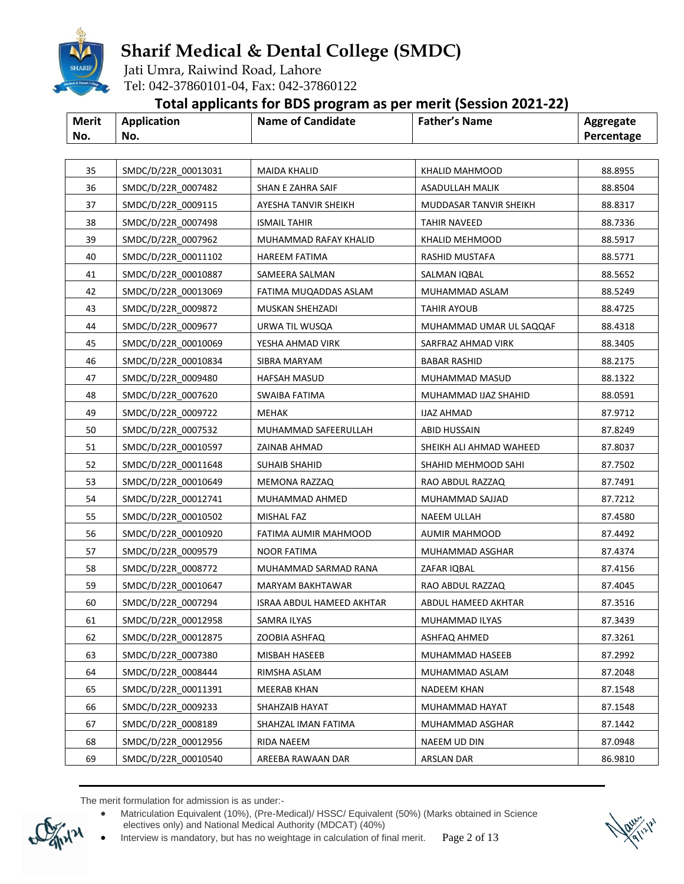

Jati Umra, Raiwind Road, Lahore Tel: 042-37860101-04, Fax: 042-37860122

### **Total applicants for BDS program as per merit (Session 2021-22)**

| <b>Merit</b> | Application | <b>Name of Candidate</b> | <b>Father's Name</b> | Aggregate  |
|--------------|-------------|--------------------------|----------------------|------------|
| No.          | No.         |                          |                      | Percentage |

| 35 | SMDC/D/22R_00013031 | <b>MAIDA KHALID</b>       | <b>KHALID MAHMOOD</b>   | 88.8955 |
|----|---------------------|---------------------------|-------------------------|---------|
| 36 | SMDC/D/22R 0007482  | SHAN E ZAHRA SAIF         | <b>ASADULLAH MALIK</b>  | 88.8504 |
| 37 | SMDC/D/22R 0009115  | AYESHA TANVIR SHEIKH      | MUDDASAR TANVIR SHEIKH  | 88.8317 |
| 38 | SMDC/D/22R 0007498  | <b>ISMAIL TAHIR</b>       | <b>TAHIR NAVEED</b>     | 88.7336 |
| 39 | SMDC/D/22R 0007962  | MUHAMMAD RAFAY KHALID     | KHALID MEHMOOD          | 88.5917 |
| 40 | SMDC/D/22R 00011102 | HAREEM FATIMA             | RASHID MUSTAFA          | 88.5771 |
| 41 | SMDC/D/22R_00010887 | SAMEERA SALMAN            | SALMAN IQBAL            | 88.5652 |
| 42 | SMDC/D/22R_00013069 | FATIMA MUQADDAS ASLAM     | MUHAMMAD ASLAM          | 88.5249 |
| 43 | SMDC/D/22R 0009872  | MUSKAN SHEHZADI           | TAHIR AYOUB             | 88.4725 |
| 44 | SMDC/D/22R 0009677  | URWA TIL WUSQA            | MUHAMMAD UMAR UL SAQQAF | 88.4318 |
| 45 | SMDC/D/22R 00010069 | YESHA AHMAD VIRK          | SARFRAZ AHMAD VIRK      | 88.3405 |
| 46 | SMDC/D/22R 00010834 | SIBRA MARYAM              | <b>BABAR RASHID</b>     | 88.2175 |
| 47 | SMDC/D/22R_0009480  | HAFSAH MASUD              | MUHAMMAD MASUD          | 88.1322 |
| 48 | SMDC/D/22R 0007620  | SWAIBA FATIMA             | MUHAMMAD IJAZ SHAHID    | 88.0591 |
| 49 | SMDC/D/22R_0009722  | <b>MEHAK</b>              | <b>IJAZ AHMAD</b>       | 87.9712 |
| 50 | SMDC/D/22R 0007532  | MUHAMMAD SAFEERULLAH      | ABID HUSSAIN            | 87.8249 |
| 51 | SMDC/D/22R_00010597 | ZAINAB AHMAD              | SHEIKH ALI AHMAD WAHEED | 87.8037 |
| 52 | SMDC/D/22R 00011648 | SUHAIB SHAHID             | SHAHID MEHMOOD SAHI     | 87.7502 |
| 53 | SMDC/D/22R 00010649 | MEMONA RAZZAQ             | RAO ABDUL RAZZAQ        | 87.7491 |
| 54 | SMDC/D/22R 00012741 | MUHAMMAD AHMED            | MUHAMMAD SAJJAD         | 87.7212 |
| 55 | SMDC/D/22R 00010502 | MISHAL FAZ                | NAEEM ULLAH             | 87.4580 |
| 56 | SMDC/D/22R 00010920 | FATIMA AUMIR MAHMOOD      | AUMIR MAHMOOD           | 87.4492 |
| 57 | SMDC/D/22R 0009579  | NOOR FATIMA               | MUHAMMAD ASGHAR         | 87.4374 |
| 58 | SMDC/D/22R_0008772  | MUHAMMAD SARMAD RANA      | ZAFAR IQBAL             | 87.4156 |
| 59 | SMDC/D/22R 00010647 | MARYAM BAKHTAWAR          | RAO ABDUL RAZZAQ        | 87.4045 |
| 60 | SMDC/D/22R 0007294  | ISRAA ABDUL HAMEED AKHTAR | ABDUL HAMEED AKHTAR     | 87.3516 |
| 61 | SMDC/D/22R_00012958 | SAMRA ILYAS               | MUHAMMAD ILYAS          | 87.3439 |
| 62 | SMDC/D/22R_00012875 | ZOOBIA ASHFAQ             | ASHFAQ AHMED            | 87.3261 |
| 63 | SMDC/D/22R_0007380  | MISBAH HASEEB             | MUHAMMAD HASEEB         | 87.2992 |
| 64 | SMDC/D/22R 0008444  | RIMSHA ASLAM              | MUHAMMAD ASLAM          | 87.2048 |
| 65 | SMDC/D/22R 00011391 | MEERAB KHAN               | <b>NADEEM KHAN</b>      | 87.1548 |
| 66 | SMDC/D/22R 0009233  | SHAHZAIB HAYAT            | MUHAMMAD HAYAT          | 87.1548 |
| 67 | SMDC/D/22R 0008189  | SHAHZAL IMAN FATIMA       | MUHAMMAD ASGHAR         | 87.1442 |
| 68 | SMDC/D/22R 00012956 | RIDA NAEEM                | NAEEM UD DIN            | 87.0948 |
| 69 | SMDC/D/22R 00010540 | AREEBA RAWAAN DAR         | ARSLAN DAR              | 86.9810 |

The merit formulation for admission is as under:-

 Matriculation Equivalent (10%), (Pre-Medical)/ HSSC/ Equivalent (50%) (Marks obtained in Science electives only) and National Medical Authority (MDCAT) (40%)

Interview is mandatory, but has no weightage in calculation of final merit. Page 2 of 13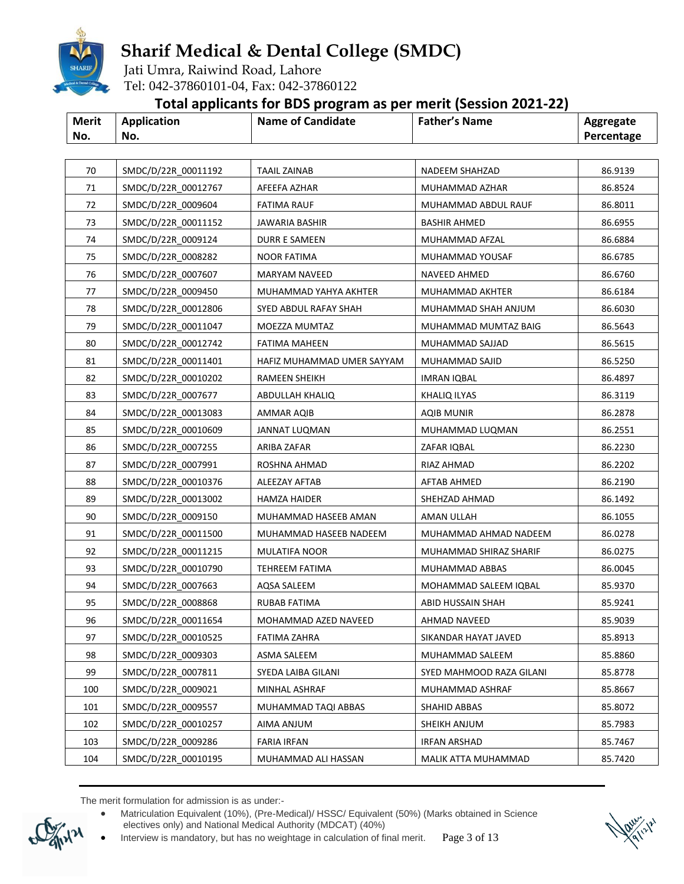

Jati Umra, Raiwind Road, Lahore Tel: 042-37860101-04, Fax: 042-37860122

#### **Total applicants for BDS program as per merit (Session 2021-22)**

|              |                    | . .                      |                      |            |
|--------------|--------------------|--------------------------|----------------------|------------|
| <b>Merit</b> | <b>Application</b> | <b>Name of Candidate</b> | <b>Father's Name</b> | Aggregate  |
| No.          | No.                |                          |                      | Percentage |

| 70  | SMDC/D/22R_00011192 | <b>TAAIL ZAINAB</b>        | NADEEM SHAHZAD           | 86.9139 |
|-----|---------------------|----------------------------|--------------------------|---------|
| 71  | SMDC/D/22R 00012767 | AFEEFA AZHAR               | MUHAMMAD AZHAR           | 86.8524 |
| 72  | SMDC/D/22R 0009604  | <b>FATIMA RAUF</b>         | MUHAMMAD ABDUL RAUF      | 86.8011 |
| 73  | SMDC/D/22R 00011152 | <b>JAWARIA BASHIR</b>      | <b>BASHIR AHMED</b>      | 86.6955 |
| 74  | SMDC/D/22R 0009124  | DURR E SAMEEN              | MUHAMMAD AFZAL           | 86.6884 |
| 75  | SMDC/D/22R 0008282  | <b>NOOR FATIMA</b>         | MUHAMMAD YOUSAF          | 86.6785 |
| 76  | SMDC/D/22R_0007607  | MARYAM NAVEED              | NAVEED AHMED             | 86.6760 |
| 77  | SMDC/D/22R 0009450  | MUHAMMAD YAHYA AKHTER      | MUHAMMAD AKHTER          | 86.6184 |
| 78  | SMDC/D/22R 00012806 | SYED ABDUL RAFAY SHAH      | MUHAMMAD SHAH ANJUM      | 86.6030 |
| 79  | SMDC/D/22R 00011047 | MOEZZA MUMTAZ              | MUHAMMAD MUMTAZ BAIG     | 86.5643 |
| 80  | SMDC/D/22R 00012742 | <b>FATIMA MAHEEN</b>       | MUHAMMAD SAJJAD          | 86.5615 |
| 81  | SMDC/D/22R 00011401 | HAFIZ MUHAMMAD UMER SAYYAM | MUHAMMAD SAJID           | 86.5250 |
| 82  | SMDC/D/22R_00010202 | <b>RAMEEN SHEIKH</b>       | <b>IMRAN IQBAL</b>       | 86.4897 |
| 83  | SMDC/D/22R 0007677  | ABDULLAH KHALIQ            | KHALIQ ILYAS             | 86.3119 |
| 84  | SMDC/D/22R 00013083 | AMMAR AQIB                 | AQIB MUNIR               | 86.2878 |
| 85  | SMDC/D/22R 00010609 | JANNAT LUQMAN              | MUHAMMAD LUQMAN          | 86.2551 |
| 86  | SMDC/D/22R 0007255  | ARIBA ZAFAR                | ZAFAR IQBAL              | 86.2230 |
| 87  | SMDC/D/22R 0007991  | ROSHNA AHMAD               | RIAZ AHMAD               | 86.2202 |
| 88  | SMDC/D/22R 00010376 | ALEEZAY AFTAB              | AFTAB AHMED              | 86.2190 |
| 89  | SMDC/D/22R 00013002 | HAMZA HAIDER               | SHEHZAD AHMAD            | 86.1492 |
| 90  | SMDC/D/22R 0009150  | MUHAMMAD HASEEB AMAN       | AMAN ULLAH               | 86.1055 |
| 91  | SMDC/D/22R 00011500 | MUHAMMAD HASEEB NADEEM     | MUHAMMAD AHMAD NADEEM    | 86.0278 |
| 92  | SMDC/D/22R 00011215 | MULATIFA NOOR              | MUHAMMAD SHIRAZ SHARIF   | 86.0275 |
| 93  | SMDC/D/22R_00010790 | TEHREEM FATIMA             | MUHAMMAD ABBAS           | 86.0045 |
| 94  | SMDC/D/22R 0007663  | AQSA SALEEM                | MOHAMMAD SALEEM IQBAL    | 85.9370 |
| 95  | SMDC/D/22R 0008868  | RUBAB FATIMA               | ABID HUSSAIN SHAH        | 85.9241 |
| 96  | SMDC/D/22R 00011654 | MOHAMMAD AZED NAVEED       | AHMAD NAVEED             | 85.9039 |
| 97  | SMDC/D/22R_00010525 | <b>FATIMA ZAHRA</b>        | SIKANDAR HAYAT JAVED     | 85.8913 |
| 98  | SMDC/D/22R_0009303  | ASMA SALEEM                | MUHAMMAD SALEEM          | 85.8860 |
| 99  | SMDC/D/22R 0007811  | SYEDA LAIBA GILANI         | SYED MAHMOOD RAZA GILANI | 85.8778 |
|     | SMDC/D/22R 0009021  |                            |                          | 85.8667 |
| 100 |                     | MINHAL ASHRAF              | MUHAMMAD ASHRAF          |         |
| 101 | SMDC/D/22R 0009557  | MUHAMMAD TAQI ABBAS        | SHAHID ABBAS             | 85.8072 |
| 102 | SMDC/D/22R 00010257 | AIMA ANJUM                 | SHEIKH ANJUM             | 85.7983 |
| 103 | SMDC/D/22R 0009286  | <b>FARIA IRFAN</b>         | IRFAN ARSHAD             | 85.7467 |
| 104 | SMDC/D/22R 00010195 | MUHAMMAD ALI HASSAN        | MALIK ATTA MUHAMMAD      | 85.7420 |

 Matriculation Equivalent (10%), (Pre-Medical)/ HSSC/ Equivalent (50%) (Marks obtained in Science electives only) and National Medical Authority (MDCAT) (40%)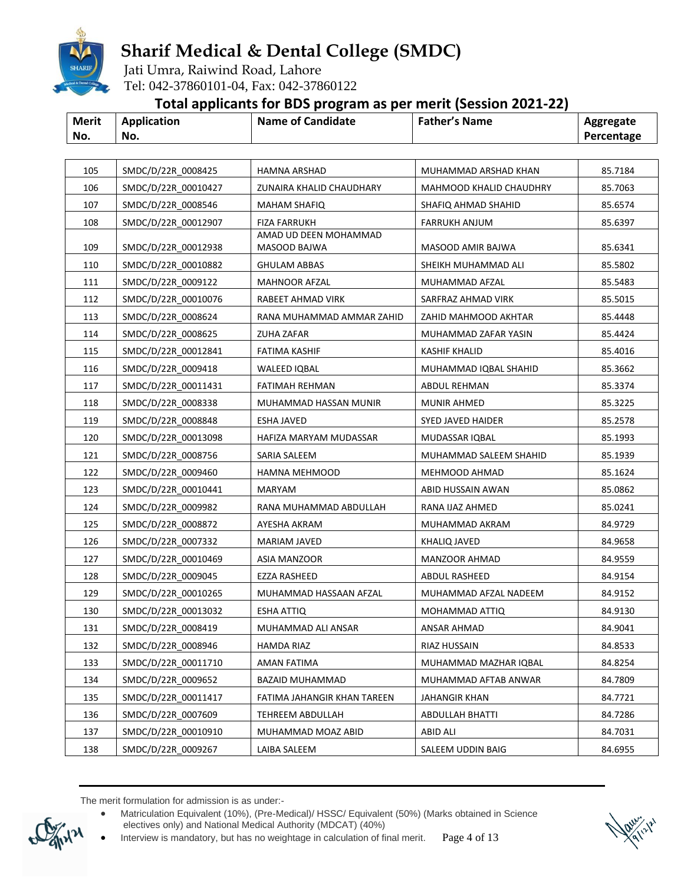

Jati Umra, Raiwind Road, Lahore Tel: 042-37860101-04, Fax: 042-37860122

### **Total applicants for BDS program as per merit (Session 2021-22)**

| <b>Merit</b> | Application | <b>Name of Candidate</b> | <b>Father's Name</b> | Aggregate  |
|--------------|-------------|--------------------------|----------------------|------------|
| No.          | No.         |                          |                      | Percentage |

| 105 | SMDC/D/22R 0008425  | <b>HAMNA ARSHAD</b>                   | MUHAMMAD ARSHAD KHAN     | 85.7184 |
|-----|---------------------|---------------------------------------|--------------------------|---------|
| 106 | SMDC/D/22R 00010427 | ZUNAIRA KHALID CHAUDHARY              | MAHMOOD KHALID CHAUDHRY  | 85.7063 |
| 107 | SMDC/D/22R 0008546  | <b>MAHAM SHAFIQ</b>                   | SHAFIQ AHMAD SHAHID      | 85.6574 |
| 108 | SMDC/D/22R 00012907 | <b>FIZA FARRUKH</b>                   | <b>FARRUKH ANJUM</b>     | 85.6397 |
| 109 | SMDC/D/22R 00012938 | AMAD UD DEEN MOHAMMAD<br>MASOOD BAJWA | MASOOD AMIR BAJWA        | 85.6341 |
| 110 | SMDC/D/22R 00010882 | <b>GHULAM ABBAS</b>                   | SHEIKH MUHAMMAD ALI      | 85.5802 |
| 111 | SMDC/D/22R 0009122  | <b>MAHNOOR AFZAL</b>                  | MUHAMMAD AFZAL           | 85.5483 |
| 112 | SMDC/D/22R 00010076 | RABEET AHMAD VIRK                     | SARFRAZ AHMAD VIRK       | 85.5015 |
| 113 | SMDC/D/22R 0008624  | RANA MUHAMMAD AMMAR ZAHID             | ZAHID MAHMOOD AKHTAR     | 85.4448 |
| 114 | SMDC/D/22R 0008625  | ZUHA ZAFAR                            | MUHAMMAD ZAFAR YASIN     | 85.4424 |
| 115 | SMDC/D/22R 00012841 | FATIMA KASHIF                         | KASHIF KHALID            | 85.4016 |
| 116 | SMDC/D/22R 0009418  | <b>WALEED IQBAL</b>                   | MUHAMMAD IQBAL SHAHID    | 85.3662 |
| 117 | SMDC/D/22R 00011431 | FATIMAH REHMAN                        | ABDUL REHMAN             | 85.3374 |
| 118 | SMDC/D/22R 0008338  | MUHAMMAD HASSAN MUNIR                 | MUNIR AHMED              | 85.3225 |
| 119 | SMDC/D/22R 0008848  | ESHA JAVED                            | <b>SYED JAVED HAIDER</b> | 85.2578 |
| 120 | SMDC/D/22R 00013098 | HAFIZA MARYAM MUDASSAR                | MUDASSAR IQBAL           | 85.1993 |
| 121 | SMDC/D/22R 0008756  | SARIA SALEEM                          | MUHAMMAD SALEEM SHAHID   | 85.1939 |
| 122 | SMDC/D/22R 0009460  | HAMNA MEHMOOD                         | MEHMOOD AHMAD            | 85.1624 |
| 123 | SMDC/D/22R 00010441 | MARYAM                                | ABID HUSSAIN AWAN        | 85.0862 |
| 124 | SMDC/D/22R 0009982  | RANA MUHAMMAD ABDULLAH                | RANA IJAZ AHMED          | 85.0241 |
| 125 | SMDC/D/22R 0008872  | AYESHA AKRAM                          | MUHAMMAD AKRAM           | 84.9729 |
| 126 | SMDC/D/22R 0007332  | MARIAM JAVED                          | KHALIQ JAVED             | 84.9658 |
| 127 | SMDC/D/22R 00010469 | ASIA MANZOOR                          | MANZOOR AHMAD            | 84.9559 |
| 128 | SMDC/D/22R 0009045  | EZZA RASHEED                          | ABDUL RASHEED            | 84.9154 |
| 129 | SMDC/D/22R 00010265 | MUHAMMAD HASSAAN AFZAL                | MUHAMMAD AFZAL NADEEM    | 84.9152 |
| 130 | SMDC/D/22R 00013032 | ESHA ATTIQ                            | MOHAMMAD ATTIQ           | 84.9130 |
| 131 | SMDC/D/22R 0008419  | MUHAMMAD ALI ANSAR                    | ANSAR AHMAD              | 84.9041 |
| 132 | SMDC/D/22R 0008946  | HAMDA RIAZ                            | RIAZ HUSSAIN             | 84.8533 |
| 133 | SMDC/D/22R_00011710 | AMAN FATIMA                           | MUHAMMAD MAZHAR IQBAL    | 84.8254 |
| 134 | SMDC/D/22R 0009652  | <b>BAZAID MUHAMMAD</b>                | MUHAMMAD AFTAB ANWAR     | 84.7809 |
| 135 | SMDC/D/22R 00011417 | FATIMA JAHANGIR KHAN TAREEN           | JAHANGIR KHAN            | 84.7721 |
| 136 | SMDC/D/22R_0007609  | TEHREEM ABDULLAH                      | ABDULLAH BHATTI          | 84.7286 |
| 137 | SMDC/D/22R 00010910 | MUHAMMAD MOAZ ABID                    | ABID ALI                 | 84.7031 |
| 138 | SMDC/D/22R 0009267  | LAIBA SALEEM                          | SALEEM UDDIN BAIG        | 84.6955 |

 Matriculation Equivalent (10%), (Pre-Medical)/ HSSC/ Equivalent (50%) (Marks obtained in Science electives only) and National Medical Authority (MDCAT) (40%)

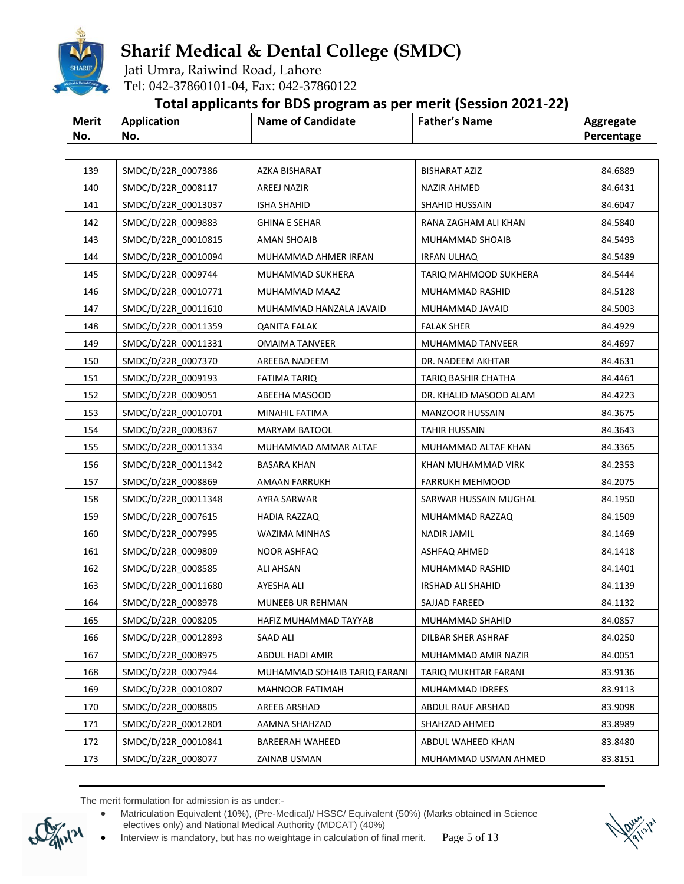

Jati Umra, Raiwind Road, Lahore Tel: 042-37860101-04, Fax: 042-37860122

### **Total applicants for BDS program as per merit (Session 2021-22)**

| <b>Merit</b> | <b>Application</b> | <b>Name of Candidate</b> | <b>Father's Name</b> | Aggregate  |
|--------------|--------------------|--------------------------|----------------------|------------|
| No.          | No.                |                          |                      | Percentage |

| 140<br>SMDC/D/22R 0008117<br>AREEJ NAZIR<br>NAZIR AHMED<br>84.6431<br>141<br>SMDC/D/22R_00013037<br>84.6047<br>ISHA SHAHID<br>SHAHID HUSSAIN<br>142<br>SMDC/D/22R 0009883<br><b>GHINA E SEHAR</b><br>RANA ZAGHAM ALI KHAN<br>84.5840<br>143<br>SMDC/D/22R 00010815<br>AMAN SHOAIB<br>MUHAMMAD SHOAIB<br>84.5493<br>144<br>SMDC/D/22R 00010094<br>MUHAMMAD AHMER IRFAN<br><b>IRFAN ULHAQ</b><br>84.5489<br>145<br>SMDC/D/22R_0009744<br>MUHAMMAD SUKHERA<br>TARIQ MAHMOOD SUKHERA<br>84.5444<br>146<br>SMDC/D/22R_00010771<br>84.5128<br>MUHAMMAD MAAZ<br>MUHAMMAD RASHID<br>147<br>SMDC/D/22R 00011610<br>MUHAMMAD HANZALA JAVAID<br>MUHAMMAD JAVAID<br>84.5003<br>148<br>SMDC/D/22R 00011359<br>84.4929<br>QANITA FALAK<br><b>FALAK SHER</b><br>149<br>SMDC/D/22R_00011331<br>OMAIMA TANVEER<br>MUHAMMAD TANVEER<br>84.4697<br>150<br>SMDC/D/22R_0007370<br>AREEBA NADEEM<br>DR. NADEEM AKHTAR<br>84.4631<br>SMDC/D/22R_0009193<br>151<br>TARIQ BASHIR CHATHA<br>84.4461<br>FATIMA TARIQ<br>152<br>SMDC/D/22R_0009051<br>ABEEHA MASOOD<br>DR. KHALID MASOOD ALAM<br>84.4223<br>153<br>SMDC/D/22R_00010701<br><b>MANZOOR HUSSAIN</b><br>84.3675<br>MINAHIL FATIMA<br>154<br>SMDC/D/22R 0008367<br>MARYAM BATOOL<br><b>TAHIR HUSSAIN</b><br>84.3643<br>155<br>SMDC/D/22R_00011334<br>MUHAMMAD AMMAR ALTAF<br>MUHAMMAD ALTAF KHAN<br>84.3365<br>156<br>SMDC/D/22R 00011342<br>BASARA KHAN<br>KHAN MUHAMMAD VIRK<br>84.2353<br>SMDC/D/22R 0008869<br>157<br><b>FARRUKH MEHMOOD</b><br>84.2075<br>AMAAN FARRUKH<br>158<br>SMDC/D/22R_00011348<br>SARWAR HUSSAIN MUGHAL<br>84.1950<br>AYRA SARWAR<br>159<br>SMDC/D/22R_0007615<br>HADIA RAZZAQ<br>MUHAMMAD RAZZAQ<br>84.1509<br>SMDC/D/22R 0007995<br>160<br>WAZIMA MINHAS<br>NADIR JAMIL<br>84.1469<br>161<br>SMDC/D/22R_0009809<br><b>NOOR ASHFAQ</b><br>84.1418<br>ASHFAQ AHMED<br>162<br>SMDC/D/22R_0008585<br>84.1401<br>ALI AHSAN<br>MUHAMMAD RASHID<br>SMDC/D/22R_00011680<br>163<br>AYESHA ALI<br>IRSHAD ALI SHAHID<br>84.1139<br>164<br>SMDC/D/22R 0008978<br>MUNEEB UR REHMAN<br>SAJJAD FAREED<br>84.1132<br>165<br>SMDC/D/22R_0008205<br>84.0857<br>HAFIZ MUHAMMAD TAYYAB<br>MUHAMMAD SHAHID<br>166<br>SMDC/D/22R_00012893<br>SAAD ALI<br>DILBAR SHER ASHRAF<br>84.0250<br>SMDC/D/22R_0008975<br>ABDUL HADI AMIR<br>84.0051<br>167<br>MUHAMMAD AMIR NAZIR<br>168<br>SMDC/D/22R 0007944<br>MUHAMMAD SOHAIB TARIQ FARANI<br>83.9136<br>TARIQ MUKHTAR FARANI<br>169<br>SMDC/D/22R 00010807<br>83.9113<br><b>MAHNOOR FATIMAH</b><br>MUHAMMAD IDREES<br>83.9098<br>170<br>SMDC/D/22R 0008805<br>AREEB ARSHAD<br>ABDUL RAUF ARSHAD<br>SMDC/D/22R 00012801<br>83.8989<br>171<br>AAMNA SHAHZAD<br>SHAHZAD AHMED<br>172<br>SMDC/D/22R 00010841<br>83.8480<br><b>BAREERAH WAHEED</b><br>ABDUL WAHEED KHAN<br>SMDC/D/22R 0008077 |     |                    |               |                      |         |
|-----------------------------------------------------------------------------------------------------------------------------------------------------------------------------------------------------------------------------------------------------------------------------------------------------------------------------------------------------------------------------------------------------------------------------------------------------------------------------------------------------------------------------------------------------------------------------------------------------------------------------------------------------------------------------------------------------------------------------------------------------------------------------------------------------------------------------------------------------------------------------------------------------------------------------------------------------------------------------------------------------------------------------------------------------------------------------------------------------------------------------------------------------------------------------------------------------------------------------------------------------------------------------------------------------------------------------------------------------------------------------------------------------------------------------------------------------------------------------------------------------------------------------------------------------------------------------------------------------------------------------------------------------------------------------------------------------------------------------------------------------------------------------------------------------------------------------------------------------------------------------------------------------------------------------------------------------------------------------------------------------------------------------------------------------------------------------------------------------------------------------------------------------------------------------------------------------------------------------------------------------------------------------------------------------------------------------------------------------------------------------------------------------------------------------------------------------------------------------------------------------------------------------------------------------------------------------------------------------------------------------------------------------------------------------------------------------------------------------------------------------------------------------|-----|--------------------|---------------|----------------------|---------|
|                                                                                                                                                                                                                                                                                                                                                                                                                                                                                                                                                                                                                                                                                                                                                                                                                                                                                                                                                                                                                                                                                                                                                                                                                                                                                                                                                                                                                                                                                                                                                                                                                                                                                                                                                                                                                                                                                                                                                                                                                                                                                                                                                                                                                                                                                                                                                                                                                                                                                                                                                                                                                                                                                                                                                                             | 139 | SMDC/D/22R_0007386 | AZKA BISHARAT | <b>BISHARAT AZIZ</b> | 84.6889 |
|                                                                                                                                                                                                                                                                                                                                                                                                                                                                                                                                                                                                                                                                                                                                                                                                                                                                                                                                                                                                                                                                                                                                                                                                                                                                                                                                                                                                                                                                                                                                                                                                                                                                                                                                                                                                                                                                                                                                                                                                                                                                                                                                                                                                                                                                                                                                                                                                                                                                                                                                                                                                                                                                                                                                                                             |     |                    |               |                      |         |
|                                                                                                                                                                                                                                                                                                                                                                                                                                                                                                                                                                                                                                                                                                                                                                                                                                                                                                                                                                                                                                                                                                                                                                                                                                                                                                                                                                                                                                                                                                                                                                                                                                                                                                                                                                                                                                                                                                                                                                                                                                                                                                                                                                                                                                                                                                                                                                                                                                                                                                                                                                                                                                                                                                                                                                             |     |                    |               |                      |         |
|                                                                                                                                                                                                                                                                                                                                                                                                                                                                                                                                                                                                                                                                                                                                                                                                                                                                                                                                                                                                                                                                                                                                                                                                                                                                                                                                                                                                                                                                                                                                                                                                                                                                                                                                                                                                                                                                                                                                                                                                                                                                                                                                                                                                                                                                                                                                                                                                                                                                                                                                                                                                                                                                                                                                                                             |     |                    |               |                      |         |
|                                                                                                                                                                                                                                                                                                                                                                                                                                                                                                                                                                                                                                                                                                                                                                                                                                                                                                                                                                                                                                                                                                                                                                                                                                                                                                                                                                                                                                                                                                                                                                                                                                                                                                                                                                                                                                                                                                                                                                                                                                                                                                                                                                                                                                                                                                                                                                                                                                                                                                                                                                                                                                                                                                                                                                             |     |                    |               |                      |         |
|                                                                                                                                                                                                                                                                                                                                                                                                                                                                                                                                                                                                                                                                                                                                                                                                                                                                                                                                                                                                                                                                                                                                                                                                                                                                                                                                                                                                                                                                                                                                                                                                                                                                                                                                                                                                                                                                                                                                                                                                                                                                                                                                                                                                                                                                                                                                                                                                                                                                                                                                                                                                                                                                                                                                                                             |     |                    |               |                      |         |
|                                                                                                                                                                                                                                                                                                                                                                                                                                                                                                                                                                                                                                                                                                                                                                                                                                                                                                                                                                                                                                                                                                                                                                                                                                                                                                                                                                                                                                                                                                                                                                                                                                                                                                                                                                                                                                                                                                                                                                                                                                                                                                                                                                                                                                                                                                                                                                                                                                                                                                                                                                                                                                                                                                                                                                             |     |                    |               |                      |         |
|                                                                                                                                                                                                                                                                                                                                                                                                                                                                                                                                                                                                                                                                                                                                                                                                                                                                                                                                                                                                                                                                                                                                                                                                                                                                                                                                                                                                                                                                                                                                                                                                                                                                                                                                                                                                                                                                                                                                                                                                                                                                                                                                                                                                                                                                                                                                                                                                                                                                                                                                                                                                                                                                                                                                                                             |     |                    |               |                      |         |
|                                                                                                                                                                                                                                                                                                                                                                                                                                                                                                                                                                                                                                                                                                                                                                                                                                                                                                                                                                                                                                                                                                                                                                                                                                                                                                                                                                                                                                                                                                                                                                                                                                                                                                                                                                                                                                                                                                                                                                                                                                                                                                                                                                                                                                                                                                                                                                                                                                                                                                                                                                                                                                                                                                                                                                             |     |                    |               |                      |         |
|                                                                                                                                                                                                                                                                                                                                                                                                                                                                                                                                                                                                                                                                                                                                                                                                                                                                                                                                                                                                                                                                                                                                                                                                                                                                                                                                                                                                                                                                                                                                                                                                                                                                                                                                                                                                                                                                                                                                                                                                                                                                                                                                                                                                                                                                                                                                                                                                                                                                                                                                                                                                                                                                                                                                                                             |     |                    |               |                      |         |
|                                                                                                                                                                                                                                                                                                                                                                                                                                                                                                                                                                                                                                                                                                                                                                                                                                                                                                                                                                                                                                                                                                                                                                                                                                                                                                                                                                                                                                                                                                                                                                                                                                                                                                                                                                                                                                                                                                                                                                                                                                                                                                                                                                                                                                                                                                                                                                                                                                                                                                                                                                                                                                                                                                                                                                             |     |                    |               |                      |         |
|                                                                                                                                                                                                                                                                                                                                                                                                                                                                                                                                                                                                                                                                                                                                                                                                                                                                                                                                                                                                                                                                                                                                                                                                                                                                                                                                                                                                                                                                                                                                                                                                                                                                                                                                                                                                                                                                                                                                                                                                                                                                                                                                                                                                                                                                                                                                                                                                                                                                                                                                                                                                                                                                                                                                                                             |     |                    |               |                      |         |
|                                                                                                                                                                                                                                                                                                                                                                                                                                                                                                                                                                                                                                                                                                                                                                                                                                                                                                                                                                                                                                                                                                                                                                                                                                                                                                                                                                                                                                                                                                                                                                                                                                                                                                                                                                                                                                                                                                                                                                                                                                                                                                                                                                                                                                                                                                                                                                                                                                                                                                                                                                                                                                                                                                                                                                             |     |                    |               |                      |         |
|                                                                                                                                                                                                                                                                                                                                                                                                                                                                                                                                                                                                                                                                                                                                                                                                                                                                                                                                                                                                                                                                                                                                                                                                                                                                                                                                                                                                                                                                                                                                                                                                                                                                                                                                                                                                                                                                                                                                                                                                                                                                                                                                                                                                                                                                                                                                                                                                                                                                                                                                                                                                                                                                                                                                                                             |     |                    |               |                      |         |
|                                                                                                                                                                                                                                                                                                                                                                                                                                                                                                                                                                                                                                                                                                                                                                                                                                                                                                                                                                                                                                                                                                                                                                                                                                                                                                                                                                                                                                                                                                                                                                                                                                                                                                                                                                                                                                                                                                                                                                                                                                                                                                                                                                                                                                                                                                                                                                                                                                                                                                                                                                                                                                                                                                                                                                             |     |                    |               |                      |         |
|                                                                                                                                                                                                                                                                                                                                                                                                                                                                                                                                                                                                                                                                                                                                                                                                                                                                                                                                                                                                                                                                                                                                                                                                                                                                                                                                                                                                                                                                                                                                                                                                                                                                                                                                                                                                                                                                                                                                                                                                                                                                                                                                                                                                                                                                                                                                                                                                                                                                                                                                                                                                                                                                                                                                                                             |     |                    |               |                      |         |
|                                                                                                                                                                                                                                                                                                                                                                                                                                                                                                                                                                                                                                                                                                                                                                                                                                                                                                                                                                                                                                                                                                                                                                                                                                                                                                                                                                                                                                                                                                                                                                                                                                                                                                                                                                                                                                                                                                                                                                                                                                                                                                                                                                                                                                                                                                                                                                                                                                                                                                                                                                                                                                                                                                                                                                             |     |                    |               |                      |         |
|                                                                                                                                                                                                                                                                                                                                                                                                                                                                                                                                                                                                                                                                                                                                                                                                                                                                                                                                                                                                                                                                                                                                                                                                                                                                                                                                                                                                                                                                                                                                                                                                                                                                                                                                                                                                                                                                                                                                                                                                                                                                                                                                                                                                                                                                                                                                                                                                                                                                                                                                                                                                                                                                                                                                                                             |     |                    |               |                      |         |
|                                                                                                                                                                                                                                                                                                                                                                                                                                                                                                                                                                                                                                                                                                                                                                                                                                                                                                                                                                                                                                                                                                                                                                                                                                                                                                                                                                                                                                                                                                                                                                                                                                                                                                                                                                                                                                                                                                                                                                                                                                                                                                                                                                                                                                                                                                                                                                                                                                                                                                                                                                                                                                                                                                                                                                             |     |                    |               |                      |         |
|                                                                                                                                                                                                                                                                                                                                                                                                                                                                                                                                                                                                                                                                                                                                                                                                                                                                                                                                                                                                                                                                                                                                                                                                                                                                                                                                                                                                                                                                                                                                                                                                                                                                                                                                                                                                                                                                                                                                                                                                                                                                                                                                                                                                                                                                                                                                                                                                                                                                                                                                                                                                                                                                                                                                                                             |     |                    |               |                      |         |
|                                                                                                                                                                                                                                                                                                                                                                                                                                                                                                                                                                                                                                                                                                                                                                                                                                                                                                                                                                                                                                                                                                                                                                                                                                                                                                                                                                                                                                                                                                                                                                                                                                                                                                                                                                                                                                                                                                                                                                                                                                                                                                                                                                                                                                                                                                                                                                                                                                                                                                                                                                                                                                                                                                                                                                             |     |                    |               |                      |         |
|                                                                                                                                                                                                                                                                                                                                                                                                                                                                                                                                                                                                                                                                                                                                                                                                                                                                                                                                                                                                                                                                                                                                                                                                                                                                                                                                                                                                                                                                                                                                                                                                                                                                                                                                                                                                                                                                                                                                                                                                                                                                                                                                                                                                                                                                                                                                                                                                                                                                                                                                                                                                                                                                                                                                                                             |     |                    |               |                      |         |
|                                                                                                                                                                                                                                                                                                                                                                                                                                                                                                                                                                                                                                                                                                                                                                                                                                                                                                                                                                                                                                                                                                                                                                                                                                                                                                                                                                                                                                                                                                                                                                                                                                                                                                                                                                                                                                                                                                                                                                                                                                                                                                                                                                                                                                                                                                                                                                                                                                                                                                                                                                                                                                                                                                                                                                             |     |                    |               |                      |         |
|                                                                                                                                                                                                                                                                                                                                                                                                                                                                                                                                                                                                                                                                                                                                                                                                                                                                                                                                                                                                                                                                                                                                                                                                                                                                                                                                                                                                                                                                                                                                                                                                                                                                                                                                                                                                                                                                                                                                                                                                                                                                                                                                                                                                                                                                                                                                                                                                                                                                                                                                                                                                                                                                                                                                                                             |     |                    |               |                      |         |
|                                                                                                                                                                                                                                                                                                                                                                                                                                                                                                                                                                                                                                                                                                                                                                                                                                                                                                                                                                                                                                                                                                                                                                                                                                                                                                                                                                                                                                                                                                                                                                                                                                                                                                                                                                                                                                                                                                                                                                                                                                                                                                                                                                                                                                                                                                                                                                                                                                                                                                                                                                                                                                                                                                                                                                             |     |                    |               |                      |         |
|                                                                                                                                                                                                                                                                                                                                                                                                                                                                                                                                                                                                                                                                                                                                                                                                                                                                                                                                                                                                                                                                                                                                                                                                                                                                                                                                                                                                                                                                                                                                                                                                                                                                                                                                                                                                                                                                                                                                                                                                                                                                                                                                                                                                                                                                                                                                                                                                                                                                                                                                                                                                                                                                                                                                                                             |     |                    |               |                      |         |
|                                                                                                                                                                                                                                                                                                                                                                                                                                                                                                                                                                                                                                                                                                                                                                                                                                                                                                                                                                                                                                                                                                                                                                                                                                                                                                                                                                                                                                                                                                                                                                                                                                                                                                                                                                                                                                                                                                                                                                                                                                                                                                                                                                                                                                                                                                                                                                                                                                                                                                                                                                                                                                                                                                                                                                             |     |                    |               |                      |         |
|                                                                                                                                                                                                                                                                                                                                                                                                                                                                                                                                                                                                                                                                                                                                                                                                                                                                                                                                                                                                                                                                                                                                                                                                                                                                                                                                                                                                                                                                                                                                                                                                                                                                                                                                                                                                                                                                                                                                                                                                                                                                                                                                                                                                                                                                                                                                                                                                                                                                                                                                                                                                                                                                                                                                                                             |     |                    |               |                      |         |
|                                                                                                                                                                                                                                                                                                                                                                                                                                                                                                                                                                                                                                                                                                                                                                                                                                                                                                                                                                                                                                                                                                                                                                                                                                                                                                                                                                                                                                                                                                                                                                                                                                                                                                                                                                                                                                                                                                                                                                                                                                                                                                                                                                                                                                                                                                                                                                                                                                                                                                                                                                                                                                                                                                                                                                             |     |                    |               |                      |         |
|                                                                                                                                                                                                                                                                                                                                                                                                                                                                                                                                                                                                                                                                                                                                                                                                                                                                                                                                                                                                                                                                                                                                                                                                                                                                                                                                                                                                                                                                                                                                                                                                                                                                                                                                                                                                                                                                                                                                                                                                                                                                                                                                                                                                                                                                                                                                                                                                                                                                                                                                                                                                                                                                                                                                                                             |     |                    |               |                      |         |
|                                                                                                                                                                                                                                                                                                                                                                                                                                                                                                                                                                                                                                                                                                                                                                                                                                                                                                                                                                                                                                                                                                                                                                                                                                                                                                                                                                                                                                                                                                                                                                                                                                                                                                                                                                                                                                                                                                                                                                                                                                                                                                                                                                                                                                                                                                                                                                                                                                                                                                                                                                                                                                                                                                                                                                             |     |                    |               |                      |         |
|                                                                                                                                                                                                                                                                                                                                                                                                                                                                                                                                                                                                                                                                                                                                                                                                                                                                                                                                                                                                                                                                                                                                                                                                                                                                                                                                                                                                                                                                                                                                                                                                                                                                                                                                                                                                                                                                                                                                                                                                                                                                                                                                                                                                                                                                                                                                                                                                                                                                                                                                                                                                                                                                                                                                                                             |     |                    |               |                      |         |
|                                                                                                                                                                                                                                                                                                                                                                                                                                                                                                                                                                                                                                                                                                                                                                                                                                                                                                                                                                                                                                                                                                                                                                                                                                                                                                                                                                                                                                                                                                                                                                                                                                                                                                                                                                                                                                                                                                                                                                                                                                                                                                                                                                                                                                                                                                                                                                                                                                                                                                                                                                                                                                                                                                                                                                             |     |                    |               |                      |         |
|                                                                                                                                                                                                                                                                                                                                                                                                                                                                                                                                                                                                                                                                                                                                                                                                                                                                                                                                                                                                                                                                                                                                                                                                                                                                                                                                                                                                                                                                                                                                                                                                                                                                                                                                                                                                                                                                                                                                                                                                                                                                                                                                                                                                                                                                                                                                                                                                                                                                                                                                                                                                                                                                                                                                                                             |     |                    |               |                      |         |
|                                                                                                                                                                                                                                                                                                                                                                                                                                                                                                                                                                                                                                                                                                                                                                                                                                                                                                                                                                                                                                                                                                                                                                                                                                                                                                                                                                                                                                                                                                                                                                                                                                                                                                                                                                                                                                                                                                                                                                                                                                                                                                                                                                                                                                                                                                                                                                                                                                                                                                                                                                                                                                                                                                                                                                             | 173 |                    | ZAINAB USMAN  | MUHAMMAD USMAN AHMED | 83.8151 |

 Matriculation Equivalent (10%), (Pre-Medical)/ HSSC/ Equivalent (50%) (Marks obtained in Science electives only) and National Medical Authority (MDCAT) (40%)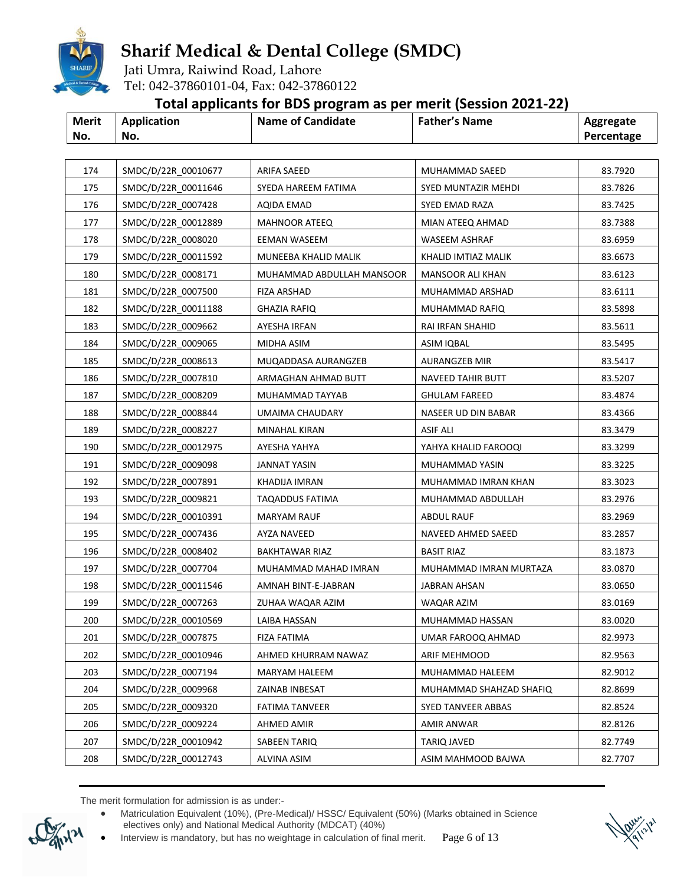

Jati Umra, Raiwind Road, Lahore Tel: 042-37860101-04, Fax: 042-37860122

### **Total applicants for BDS program as per merit (Session 2021-22)**

| <b>Merit</b> | Application | <b>Name of Candidate</b> | <b>Father's Name</b> | Aggregate  |
|--------------|-------------|--------------------------|----------------------|------------|
| No.          | No.         |                          |                      | Percentage |

| 174 | SMDC/D/22R 00010677 | ARIFA SAEED               | MUHAMMAD SAEED          | 83.7920 |
|-----|---------------------|---------------------------|-------------------------|---------|
| 175 | SMDC/D/22R 00011646 | SYEDA HAREEM FATIMA       | SYED MUNTAZIR MEHDI     | 83.7826 |
| 176 | SMDC/D/22R_0007428  | AQIDA EMAD                | SYED EMAD RAZA          | 83.7425 |
| 177 | SMDC/D/22R 00012889 | <b>MAHNOOR ATEEQ</b>      | MIAN ATEEQ AHMAD        | 83.7388 |
| 178 | SMDC/D/22R 0008020  | EEMAN WASEEM              | WASEEM ASHRAF           | 83.6959 |
| 179 | SMDC/D/22R 00011592 | MUNEEBA KHALID MALIK      | KHALID IMTIAZ MALIK     | 83.6673 |
| 180 | SMDC/D/22R_0008171  | MUHAMMAD ABDULLAH MANSOOR | <b>MANSOOR ALI KHAN</b> | 83.6123 |
| 181 | SMDC/D/22R 0007500  | <b>FIZA ARSHAD</b>        | MUHAMMAD ARSHAD         | 83.6111 |
| 182 | SMDC/D/22R 00011188 | <b>GHAZIA RAFIQ</b>       | MUHAMMAD RAFIQ          | 83.5898 |
| 183 | SMDC/D/22R 0009662  | AYESHA IRFAN              | RAI IRFAN SHAHID        | 83.5611 |
| 184 | SMDC/D/22R 0009065  | MIDHA ASIM                | ASIM IQBAL              | 83.5495 |
| 185 | SMDC/D/22R 0008613  | MUQADDASA AURANGZEB       | AURANGZEB MIR           | 83.5417 |
| 186 | SMDC/D/22R_0007810  | ARMAGHAN AHMAD BUTT       | NAVEED TAHIR BUTT       | 83.5207 |
| 187 | SMDC/D/22R 0008209  | MUHAMMAD TAYYAB           | <b>GHULAM FAREED</b>    | 83.4874 |
| 188 | SMDC/D/22R 0008844  | UMAIMA CHAUDARY           | NASEER UD DIN BABAR     | 83.4366 |
| 189 | SMDC/D/22R 0008227  | MINAHAL KIRAN             | ASIF ALI                | 83.3479 |
| 190 | SMDC/D/22R_00012975 | AYESHA YAHYA              | YAHYA KHALID FAROOQI    | 83.3299 |
| 191 | SMDC/D/22R_0009098  | <b>JANNAT YASIN</b>       | MUHAMMAD YASIN          | 83.3225 |
| 192 | SMDC/D/22R 0007891  | KHADIJA IMRAN             | MUHAMMAD IMRAN KHAN     | 83.3023 |
| 193 | SMDC/D/22R_0009821  | TAQADDUS FATIMA           | MUHAMMAD ABDULLAH       | 83.2976 |
| 194 | SMDC/D/22R 00010391 | MARYAM RAUF               | ABDUL RAUF              | 83.2969 |
| 195 | SMDC/D/22R 0007436  | AYZA NAVEED               | NAVEED AHMED SAEED      | 83.2857 |
| 196 | SMDC/D/22R 0008402  | <b>BAKHTAWAR RIAZ</b>     | <b>BASIT RIAZ</b>       | 83.1873 |
| 197 | SMDC/D/22R_0007704  | MUHAMMAD MAHAD IMRAN      | MUHAMMAD IMRAN MURTAZA  | 83.0870 |
| 198 | SMDC/D/22R_00011546 | AMNAH BINT-E-JABRAN       | JABRAN AHSAN            | 83.0650 |
| 199 | SMDC/D/22R 0007263  | ZUHAA WAQAR AZIM          | WAQAR AZIM              | 83.0169 |
| 200 | SMDC/D/22R_00010569 | LAIBA HASSAN              | MUHAMMAD HASSAN         | 83.0020 |
| 201 | SMDC/D/22R_0007875  | <b>FIZA FATIMA</b>        | UMAR FAROOQ AHMAD       | 82.9973 |
| 202 | SMDC/D/22R_00010946 | AHMED KHURRAM NAWAZ       | ARIF MEHMOOD            | 82.9563 |
| 203 | SMDC/D/22R 0007194  | MARYAM HALEEM             | MUHAMMAD HALEEM         | 82.9012 |
| 204 | SMDC/D/22R 0009968  | ZAINAB INBESAT            | MUHAMMAD SHAHZAD SHAFIQ | 82.8699 |
| 205 | SMDC/D/22R 0009320  | <b>FATIMA TANVEER</b>     | SYED TANVEER ABBAS      | 82.8524 |
| 206 | SMDC/D/22R 0009224  | AHMED AMIR                | AMIR ANWAR              | 82.8126 |
| 207 | SMDC/D/22R 00010942 | SABEEN TARIQ              | TARIQ JAVED             | 82.7749 |
| 208 | SMDC/D/22R 00012743 | ALVINA ASIM               | ASIM MAHMOOD BAJWA      | 82.7707 |
|     |                     |                           |                         |         |

 Matriculation Equivalent (10%), (Pre-Medical)/ HSSC/ Equivalent (50%) (Marks obtained in Science electives only) and National Medical Authority (MDCAT) (40%)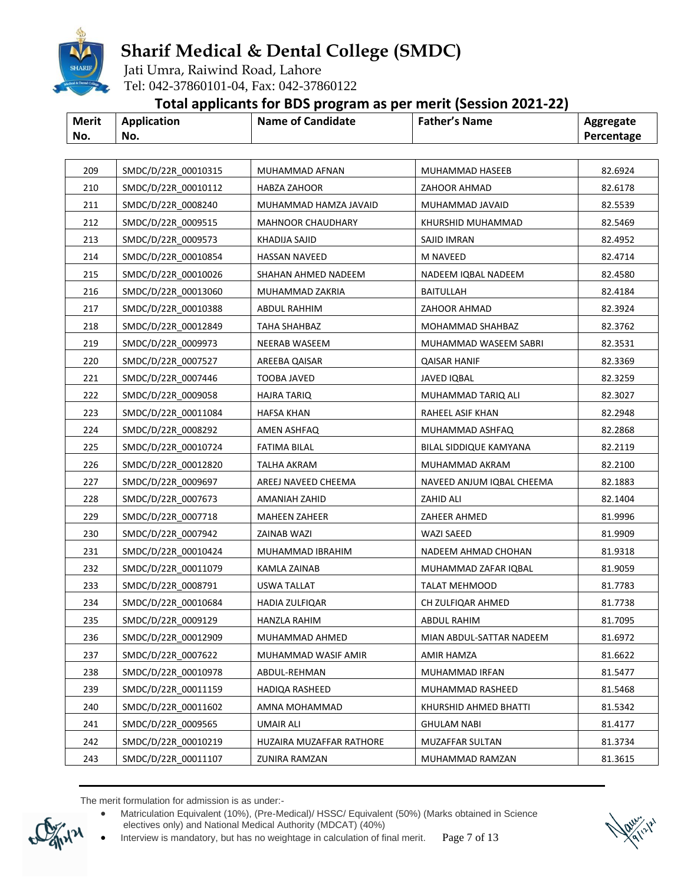

Jati Umra, Raiwind Road, Lahore Tel: 042-37860101-04, Fax: 042-37860122

### **Total applicants for BDS program as per merit (Session 2021-22)**

| <b>Merit</b> | Application | <b>Name of Candidate</b> | <b>Father's Name</b> | Aggregate  |
|--------------|-------------|--------------------------|----------------------|------------|
| No.          | No.         |                          |                      | Percentage |

| 209 | SMDC/D/22R_00010315 | MUHAMMAD AFNAN           | MUHAMMAD HASEEB           | 82.6924 |
|-----|---------------------|--------------------------|---------------------------|---------|
| 210 | SMDC/D/22R 00010112 | HABZA ZAHOOR             | ZAHOOR AHMAD              | 82.6178 |
| 211 | SMDC/D/22R_0008240  | MUHAMMAD HAMZA JAVAID    | MUHAMMAD JAVAID           | 82.5539 |
| 212 | SMDC/D/22R 0009515  | <b>MAHNOOR CHAUDHARY</b> | KHURSHID MUHAMMAD         | 82.5469 |
| 213 | SMDC/D/22R 0009573  | KHADIJA SAJID            | SAJID IMRAN               | 82.4952 |
| 214 | SMDC/D/22R_00010854 | <b>HASSAN NAVEED</b>     | <b>M NAVEED</b>           | 82.4714 |
| 215 | SMDC/D/22R_00010026 | SHAHAN AHMED NADEEM      | NADEEM IQBAL NADEEM       | 82.4580 |
| 216 | SMDC/D/22R 00013060 | MUHAMMAD ZAKRIA          | <b>BAITULLAH</b>          | 82.4184 |
| 217 | SMDC/D/22R 00010388 | ABDUL RAHHIM             | ZAHOOR AHMAD              | 82.3924 |
| 218 | SMDC/D/22R 00012849 | TAHA SHAHBAZ             | MOHAMMAD SHAHBAZ          | 82.3762 |
| 219 | SMDC/D/22R 0009973  | NEERAB WASEEM            | MUHAMMAD WASEEM SABRI     | 82.3531 |
| 220 | SMDC/D/22R 0007527  | AREEBA QAISAR            | QAISAR HANIF              | 82.3369 |
| 221 | SMDC/D/22R 0007446  | <b>TOOBA JAVED</b>       | JAVED IQBAL               | 82.3259 |
| 222 | SMDC/D/22R 0009058  | <b>HAJRA TARIO</b>       | MUHAMMAD TARIQ ALI        | 82.3027 |
| 223 | SMDC/D/22R_00011084 | <b>HAFSA KHAN</b>        | RAHEEL ASIF KHAN          | 82.2948 |
| 224 | SMDC/D/22R 0008292  | AMEN ASHFAQ              | MUHAMMAD ASHFAQ           | 82.2868 |
| 225 | SMDC/D/22R 00010724 | <b>FATIMA BILAL</b>      | BILAL SIDDIQUE KAMYANA    | 82.2119 |
| 226 | SMDC/D/22R_00012820 | <b>TALHA AKRAM</b>       | MUHAMMAD AKRAM            | 82.2100 |
| 227 | SMDC/D/22R 0009697  | AREEJ NAVEED CHEEMA      | NAVEED ANJUM IQBAL CHEEMA | 82.1883 |
| 228 | SMDC/D/22R 0007673  | AMANIAH ZAHID            | ZAHID ALI                 | 82.1404 |
| 229 | SMDC/D/22R_0007718  | <b>MAHEEN ZAHEER</b>     | ZAHEER AHMED              | 81.9996 |
| 230 | SMDC/D/22R 0007942  | ZAINAB WAZI              | WAZI SAEED                | 81.9909 |
| 231 | SMDC/D/22R_00010424 | MUHAMMAD IBRAHIM         | NADEEM AHMAD CHOHAN       | 81.9318 |
| 232 | SMDC/D/22R 00011079 | KAMLA ZAINAB             | MUHAMMAD ZAFAR IQBAL      | 81.9059 |
| 233 | SMDC/D/22R 0008791  | USWA TALLAT              | <b>TALAT MEHMOOD</b>      | 81.7783 |
| 234 | SMDC/D/22R 00010684 | HADIA ZULFIQAR           | CH ZULFIQAR AHMED         | 81.7738 |
| 235 | SMDC/D/22R 0009129  | HANZLA RAHIM             | <b>ABDUL RAHIM</b>        | 81.7095 |
| 236 | SMDC/D/22R_00012909 | MUHAMMAD AHMED           | MIAN ABDUL-SATTAR NADEEM  | 81.6972 |
| 237 | SMDC/D/22R 0007622  | MUHAMMAD WASIF AMIR      | AMIR HAMZA                | 81.6622 |
| 238 | SMDC/D/22R_00010978 | ABDUL-REHMAN             | MUHAMMAD IRFAN            | 81.5477 |
| 239 | SMDC/D/22R 00011159 | HADIQA RASHEED           | MUHAMMAD RASHEED          | 81.5468 |
| 240 | SMDC/D/22R 00011602 | AMNA MOHAMMAD            | KHURSHID AHMED BHATTI     | 81.5342 |
| 241 | SMDC/D/22R 0009565  | UMAIR ALI                | GHULAM NABI               | 81.4177 |
| 242 | SMDC/D/22R 00010219 | HUZAIRA MUZAFFAR RATHORE | MUZAFFAR SULTAN           | 81.3734 |
| 243 | SMDC/D/22R 00011107 | ZUNIRA RAMZAN            | MUHAMMAD RAMZAN           | 81.3615 |

The merit formulation for admission is as under:-

 Matriculation Equivalent (10%), (Pre-Medical)/ HSSC/ Equivalent (50%) (Marks obtained in Science electives only) and National Medical Authority (MDCAT) (40%)

Interview is mandatory, but has no weightage in calculation of final merit. Page 7 of 13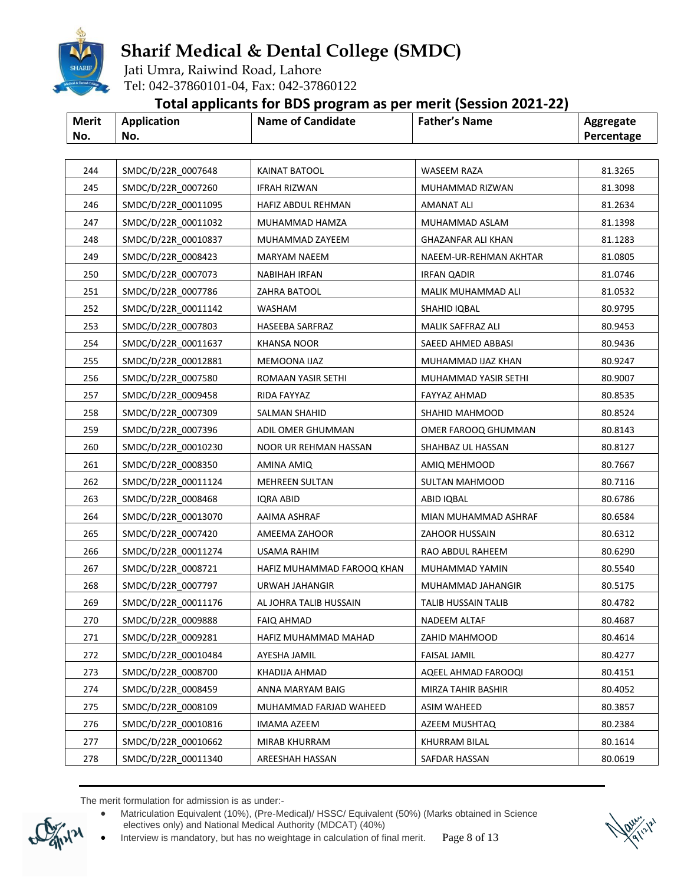

Jati Umra, Raiwind Road, Lahore Tel: 042-37860101-04, Fax: 042-37860122

### **Total applicants for BDS program as per merit (Session 2021-22)**

| <b>Merit</b><br><b>Application</b><br><b>Name of Candidate</b><br><b>Father's Name</b><br>Aggregate<br>No.<br>No.<br>Percentage |
|---------------------------------------------------------------------------------------------------------------------------------|
|---------------------------------------------------------------------------------------------------------------------------------|

| 244 | SMDC/D/22R_0007648  | <b>KAINAT BATOOL</b>       | <b>WASEEM RAZA</b>     | 81.3265 |
|-----|---------------------|----------------------------|------------------------|---------|
| 245 | SMDC/D/22R 0007260  | <b>IFRAH RIZWAN</b>        | MUHAMMAD RIZWAN        | 81.3098 |
| 246 | SMDC/D/22R_00011095 | HAFIZ ABDUL REHMAN         | AMANAT ALI             | 81.2634 |
| 247 | SMDC/D/22R 00011032 | MUHAMMAD HAMZA             | MUHAMMAD ASLAM         | 81.1398 |
| 248 | SMDC/D/22R 00010837 | MUHAMMAD ZAYEEM            | GHAZANFAR ALI KHAN     | 81.1283 |
| 249 | SMDC/D/22R_0008423  | MARYAM NAEEM               | NAEEM-UR-REHMAN AKHTAR | 81.0805 |
| 250 | SMDC/D/22R 0007073  | NABIHAH IRFAN              | <b>IRFAN QADIR</b>     | 81.0746 |
| 251 | SMDC/D/22R 0007786  | ZAHRA BATOOL               | MALIK MUHAMMAD ALI     | 81.0532 |
| 252 | SMDC/D/22R_00011142 | WASHAM                     | SHAHID IQBAL           | 80.9795 |
| 253 | SMDC/D/22R_0007803  | HASEEBA SARFRAZ            | MALIK SAFFRAZ ALI      | 80.9453 |
| 254 | SMDC/D/22R 00011637 | KHANSA NOOR                | SAEED AHMED ABBASI     | 80.9436 |
| 255 | SMDC/D/22R_00012881 | MEMOONA IJAZ               | MUHAMMAD IJAZ KHAN     | 80.9247 |
| 256 | SMDC/D/22R_0007580  | ROMAAN YASIR SETHI         | MUHAMMAD YASIR SETHI   | 80.9007 |
| 257 | SMDC/D/22R_0009458  | RIDA FAYYAZ                | FAYYAZ AHMAD           | 80.8535 |
| 258 | SMDC/D/22R_0007309  | SALMAN SHAHID              | SHAHID MAHMOOD         | 80.8524 |
| 259 | SMDC/D/22R 0007396  | ADIL OMER GHUMMAN          | OMER FAROOQ GHUMMAN    | 80.8143 |
| 260 | SMDC/D/22R_00010230 | NOOR UR REHMAN HASSAN      | SHAHBAZ UL HASSAN      | 80.8127 |
| 261 | SMDC/D/22R 0008350  | AMINA AMIQ                 | AMIQ MEHMOOD           | 80.7667 |
| 262 | SMDC/D/22R 00011124 | <b>MEHREEN SULTAN</b>      | SULTAN MAHMOOD         | 80.7116 |
| 263 | SMDC/D/22R_0008468  | <b>IQRA ABID</b>           | ABID IQBAL             | 80.6786 |
| 264 | SMDC/D/22R_00013070 | AAIMA ASHRAF               | MIAN MUHAMMAD ASHRAF   | 80.6584 |
| 265 | SMDC/D/22R_0007420  | AMEEMA ZAHOOR              | ZAHOOR HUSSAIN         | 80.6312 |
| 266 | SMDC/D/22R 00011274 | USAMA RAHIM                | RAO ABDUL RAHEEM       | 80.6290 |
| 267 | SMDC/D/22R_0008721  | HAFIZ MUHAMMAD FAROOQ KHAN | MUHAMMAD YAMIN         | 80.5540 |
| 268 | SMDC/D/22R_0007797  | URWAH JAHANGIR             | MUHAMMAD JAHANGIR      | 80.5175 |
| 269 | SMDC/D/22R 00011176 | AL JOHRA TALIB HUSSAIN     | TALIB HUSSAIN TALIB    | 80.4782 |
| 270 | SMDC/D/22R 0009888  | <b>FAIQ AHMAD</b>          | <b>NADEEM ALTAF</b>    | 80.4687 |
| 271 | SMDC/D/22R_0009281  | HAFIZ MUHAMMAD MAHAD       | ZAHID MAHMOOD          | 80.4614 |
| 272 | SMDC/D/22R_00010484 | AYESHA JAMIL               | FAISAL JAMIL           | 80.4277 |
| 273 | SMDC/D/22R 0008700  | KHADIJA AHMAD              | AQEEL AHMAD FAROOQI    | 80.4151 |
| 274 | SMDC/D/22R 0008459  | ANNA MARYAM BAIG           | MIRZA TAHIR BASHIR     | 80.4052 |
| 275 | SMDC/D/22R 0008109  | MUHAMMAD FARJAD WAHEED     | ASIM WAHEED            | 80.3857 |
| 276 | SMDC/D/22R 00010816 | IMAMA AZEEM                | AZEEM MUSHTAQ          | 80.2384 |
| 277 | SMDC/D/22R 00010662 | MIRAB KHURRAM              | KHURRAM BILAL          | 80.1614 |
| 278 | SMDC/D/22R 00011340 | AREESHAH HASSAN            | SAFDAR HASSAN          | 80.0619 |

 Matriculation Equivalent (10%), (Pre-Medical)/ HSSC/ Equivalent (50%) (Marks obtained in Science electives only) and National Medical Authority (MDCAT) (40%)

Interview is mandatory, but has no weightage in calculation of final merit. Page 8 of 13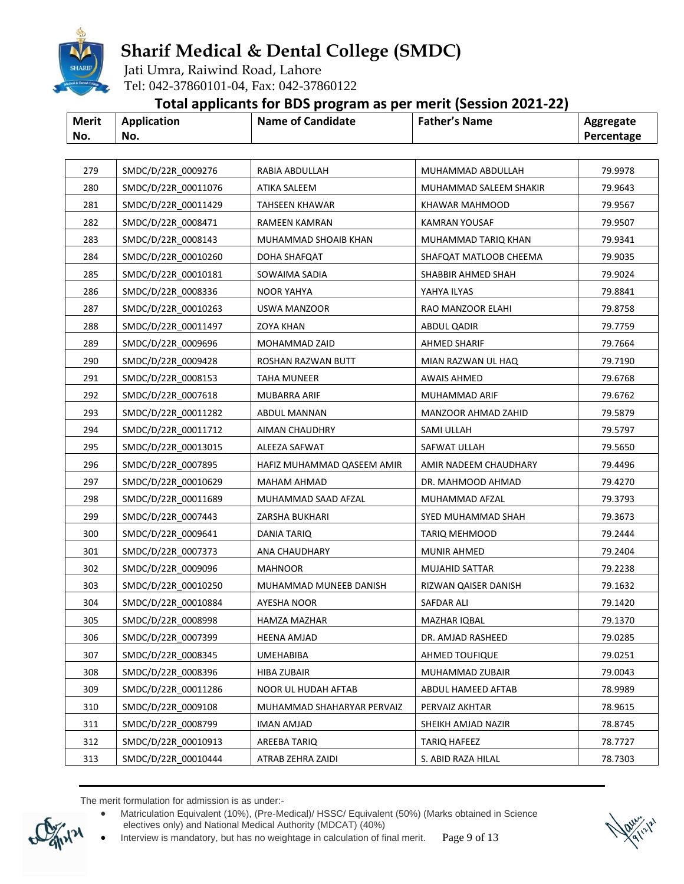

Jati Umra, Raiwind Road, Lahore Tel: 042-37860101-04, Fax: 042-37860122

### **Total applicants for BDS program as per merit (Session 2021-22)**

| Merit | <b>Application</b> | <b>Name of Candidate</b> | <b>Father's Name</b> | Aggregate  |
|-------|--------------------|--------------------------|----------------------|------------|
| No.   | No.                |                          |                      | Percentage |

| 279<br>280 | SMDC/D/22R_0009276  | RABIA ABDULLAH             | MUHAMMAD ABDULLAH      | 79.9978 |
|------------|---------------------|----------------------------|------------------------|---------|
|            |                     |                            |                        |         |
|            | SMDC/D/22R 00011076 | ATIKA SALEEM               | MUHAMMAD SALEEM SHAKIR | 79.9643 |
| 281        | SMDC/D/22R 00011429 | TAHSEEN KHAWAR             | KHAWAR MAHMOOD         | 79.9567 |
| 282        | SMDC/D/22R 0008471  | RAMEEN KAMRAN              | KAMRAN YOUSAF          | 79.9507 |
| 283        | SMDC/D/22R 0008143  | MUHAMMAD SHOAIB KHAN       | MUHAMMAD TARIQ KHAN    | 79.9341 |
| 284        | SMDC/D/22R 00010260 | DOHA SHAFQAT               | SHAFQAT MATLOOB CHEEMA | 79.9035 |
| 285        | SMDC/D/22R_00010181 | SOWAIMA SADIA              | SHABBIR AHMED SHAH     | 79.9024 |
| 286        | SMDC/D/22R 0008336  | <b>NOOR YAHYA</b>          | YAHYA ILYAS            | 79.8841 |
| 287        | SMDC/D/22R 00010263 | USWA MANZOOR               | RAO MANZOOR ELAHI      | 79.8758 |
| 288        | SMDC/D/22R 00011497 | ZOYA KHAN                  | <b>ABDUL QADIR</b>     | 79.7759 |
| 289        | SMDC/D/22R 0009696  | MOHAMMAD ZAID              | <b>AHMED SHARIF</b>    | 79.7664 |
| 290        | SMDC/D/22R 0009428  | ROSHAN RAZWAN BUTT         | MIAN RAZWAN UL HAQ     | 79.7190 |
| 291        | SMDC/D/22R_0008153  | TAHA MUNEER                | <b>AWAIS AHMED</b>     | 79.6768 |
| 292        | SMDC/D/22R 0007618  | MUBARRA ARIF               | MUHAMMAD ARIF          | 79.6762 |
| 293        | SMDC/D/22R 00011282 | ABDUL MANNAN               | MANZOOR AHMAD ZAHID    | 79.5879 |
| 294        | SMDC/D/22R 00011712 | AIMAN CHAUDHRY             | SAMI ULLAH             | 79.5797 |
| 295        | SMDC/D/22R_00013015 | ALEEZA SAFWAT              | SAFWAT ULLAH           | 79.5650 |
| 296        | SMDC/D/22R_0007895  | HAFIZ MUHAMMAD QASEEM AMIR | AMIR NADEEM CHAUDHARY  | 79.4496 |
| 297        | SMDC/D/22R 00010629 | <b>MAHAM AHMAD</b>         | DR. MAHMOOD AHMAD      | 79.4270 |
| 298        | SMDC/D/22R 00011689 | MUHAMMAD SAAD AFZAL        | MUHAMMAD AFZAL         | 79.3793 |
| 299        | SMDC/D/22R 0007443  | ZARSHA BUKHARI             | SYED MUHAMMAD SHAH     | 79.3673 |
| 300        | SMDC/D/22R 0009641  | <b>DANIA TARIQ</b>         | <b>TARIQ MEHMOOD</b>   | 79.2444 |
| 301        | SMDC/D/22R 0007373  | ANA CHAUDHARY              | <b>MUNIR AHMED</b>     | 79.2404 |
| 302        | SMDC/D/22R 0009096  | <b>MAHNOOR</b>             | MUJAHID SATTAR         | 79.2238 |
| 303        | SMDC/D/22R 00010250 | MUHAMMAD MUNEEB DANISH     | RIZWAN QAISER DANISH   | 79.1632 |
| 304        | SMDC/D/22R 00010884 | AYESHA NOOR                | SAFDAR ALI             | 79.1420 |
| 305        | SMDC/D/22R_0008998  | HAMZA MAZHAR               | MAZHAR IQBAL           | 79.1370 |
| 306        | SMDC/D/22R_0007399  | HEENA AMJAD                | DR. AMJAD RASHEED      | 79.0285 |
| 307        | SMDC/D/22R_0008345  | UMEHABIBA                  | <b>AHMED TOUFIQUE</b>  | 79.0251 |
| 308        | SMDC/D/22R 0008396  | <b>HIBA ZUBAIR</b>         | MUHAMMAD ZUBAIR        | 79.0043 |
| 309        | SMDC/D/22R 00011286 | NOOR UL HUDAH AFTAB        | ABDUL HAMEED AFTAB     | 78.9989 |
| 310        | SMDC/D/22R 0009108  | MUHAMMAD SHAHARYAR PERVAIZ | PERVAIZ AKHTAR         | 78.9615 |
| 311        | SMDC/D/22R 0008799  | IMAN AMJAD                 | SHEIKH AMJAD NAZIR     | 78.8745 |
| 312        | SMDC/D/22R 00010913 | AREEBA TARIQ               | TARIQ HAFEEZ           | 78.7727 |
| 313        | SMDC/D/22R 00010444 | ATRAB ZEHRA ZAIDI          | S. ABID RAZA HILAL     | 78.7303 |

 Matriculation Equivalent (10%), (Pre-Medical)/ HSSC/ Equivalent (50%) (Marks obtained in Science electives only) and National Medical Authority (MDCAT) (40%)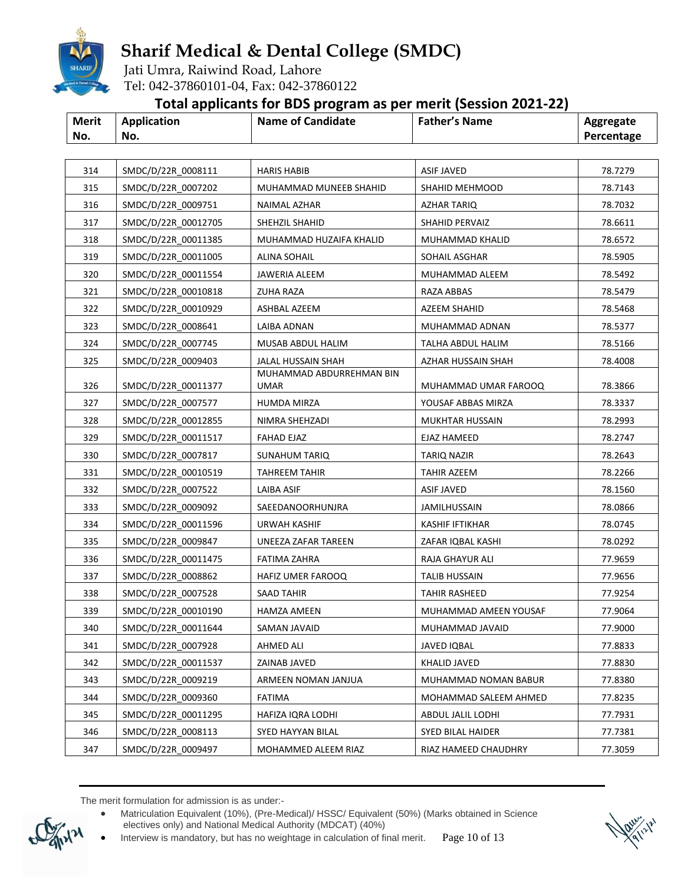

Jati Umra, Raiwind Road, Lahore Tel: 042-37860101-04, Fax: 042-37860122

### **Total applicants for BDS program as per merit (Session 2021-22)**

|       |                    | . .                      |                      |            |
|-------|--------------------|--------------------------|----------------------|------------|
| Merit | <b>Application</b> | <b>Name of Candidate</b> | <b>Father's Name</b> | Aggregate  |
| No.   | No.                |                          |                      | Percentage |

| 314        | SMDC/D/22R_0008111                        | <b>HARIS HABIB</b>                      | <b>ASIF JAVED</b>                          | 78.7279            |
|------------|-------------------------------------------|-----------------------------------------|--------------------------------------------|--------------------|
| 315        | SMDC/D/22R 0007202                        | MUHAMMAD MUNEEB SHAHID                  | SHAHID MEHMOOD                             | 78.7143            |
| 316        | SMDC/D/22R 0009751                        | NAIMAL AZHAR                            | AZHAR TARIQ                                | 78.7032            |
| 317        | SMDC/D/22R 00012705                       | SHEHZIL SHAHID                          | SHAHID PERVAIZ                             | 78.6611            |
| 318        | SMDC/D/22R 00011385                       | MUHAMMAD HUZAIFA KHALID                 | MUHAMMAD KHALID                            | 78.6572            |
| 319        | SMDC/D/22R 00011005                       | ALINA SOHAIL                            | SOHAIL ASGHAR                              | 78.5905            |
| 320        | SMDC/D/22R_00011554                       | JAWERIA ALEEM                           | MUHAMMAD ALEEM                             | 78.5492            |
| 321        | SMDC/D/22R 00010818                       | <b>ZUHA RAZA</b>                        | RAZA ABBAS                                 | 78.5479            |
| 322        | SMDC/D/22R 00010929                       | ASHBAL AZEEM                            | AZEEM SHAHID                               | 78.5468            |
| 323        | SMDC/D/22R 0008641                        | LAIBA ADNAN                             | MUHAMMAD ADNAN                             | 78.5377            |
| 324        | SMDC/D/22R 0007745                        | MUSAB ABDUL HALIM                       | TALHA ABDUL HALIM                          | 78.5166            |
| 325        | SMDC/D/22R_0009403                        | JALAL HUSSAIN SHAH                      | AZHAR HUSSAIN SHAH                         | 78.4008            |
|            | SMDC/D/22R 00011377                       | MUHAMMAD ABDURREHMAN BIN<br><b>UMAR</b> |                                            |                    |
| 326<br>327 | SMDC/D/22R 0007577                        | HUMDA MIRZA                             | MUHAMMAD UMAR FAROOQ<br>YOUSAF ABBAS MIRZA | 78.3866<br>78.3337 |
|            |                                           |                                         | MUKHTAR HUSSAIN                            |                    |
| 328<br>329 | SMDC/D/22R 00012855                       | NIMRA SHEHZADI                          |                                            | 78.2993            |
| 330        | SMDC/D/22R 00011517                       | <b>FAHAD EJAZ</b>                       | <b>EJAZ HAMEED</b><br>TARIQ NAZIR          | 78.2747<br>78.2643 |
| 331        | SMDC/D/22R_0007817<br>SMDC/D/22R 00010519 | SUNAHUM TARIQ                           | TAHIR AZEEM                                | 78.2266            |
| 332        | SMDC/D/22R 0007522                        | TAHREEM TAHIR                           | <b>ASIF JAVED</b>                          | 78.1560            |
| 333        | SMDC/D/22R 0009092                        | LAIBA ASIF                              |                                            | 78.0866            |
|            |                                           | SAEEDANOORHUNJRA                        | JAMILHUSSAIN                               |                    |
| 334        | SMDC/D/22R 00011596                       | URWAH KASHIF                            | <b>KASHIF IFTIKHAR</b>                     | 78.0745            |
| 335        | SMDC/D/22R 0009847                        | UNEEZA ZAFAR TAREEN                     | ZAFAR IQBAL KASHI                          | 78.0292            |
| 336        | SMDC/D/22R 00011475                       | <b>FATIMA ZAHRA</b>                     | RAJA GHAYUR ALI                            | 77.9659            |
| 337        | SMDC/D/22R 0008862                        | HAFIZ UMER FAROOQ                       | TALIB HUSSAIN                              | 77.9656            |
| 338        | SMDC/D/22R 0007528                        | <b>SAAD TAHIR</b>                       | TAHIR RASHEED                              | 77.9254            |
| 339        | SMDC/D/22R_00010190                       | <b>HAMZA AMEEN</b>                      | MUHAMMAD AMEEN YOUSAF                      | 77.9064            |
| 340        | SMDC/D/22R 00011644                       | SAMAN JAVAID                            | MUHAMMAD JAVAID                            | 77.9000            |
| 341        | SMDC/D/22R 0007928                        | AHMED ALI                               | JAVED IQBAL                                | 77.8833            |
| 342        | SMDC/D/22R 00011537                       | ZAINAB JAVED                            | KHALID JAVED                               | 77.8830            |
| 343        | SMDC/D/22R 0009219                        | ARMEEN NOMAN JANJUA                     | MUHAMMAD NOMAN BABUR                       | 77.8380            |
| 344        | SMDC/D/22R 0009360                        | FATIMA                                  | MOHAMMAD SALEEM AHMED                      | 77.8235            |
| 345        | SMDC/D/22R_00011295                       | HAFIZA IQRA LODHI                       | ABDUL JALIL LODHI                          | 77.7931            |
| 346        | SMDC/D/22R 0008113                        | SYED HAYYAN BILAL                       | <b>SYED BILAL HAIDER</b>                   | 77.7381            |
| 347        | SMDC/D/22R 0009497                        | MOHAMMED ALEEM RIAZ                     | RIAZ HAMEED CHAUDHRY                       | 77.3059            |

 Matriculation Equivalent (10%), (Pre-Medical)/ HSSC/ Equivalent (50%) (Marks obtained in Science electives only) and National Medical Authority (MDCAT) (40%)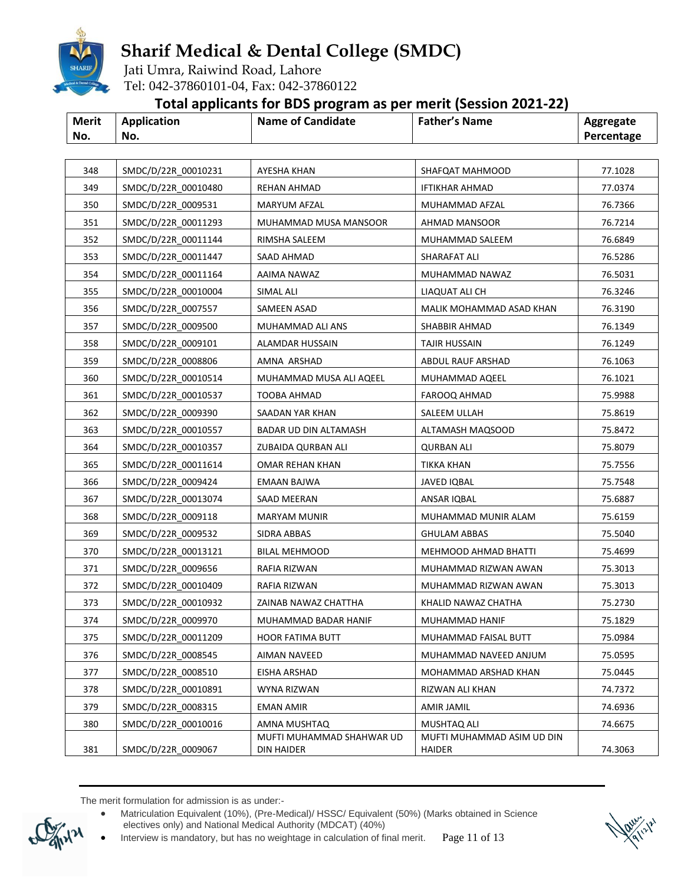

Jati Umra, Raiwind Road, Lahore Tel: 042-37860101-04, Fax: 042-37860122

### **Total applicants for BDS program as per merit (Session 2021-22)**

| <b>Merit</b> | Application | <b>Name of Candidate</b> | <b>Father's Name</b> | Aggregate  |
|--------------|-------------|--------------------------|----------------------|------------|
| No.          | No.         |                          |                      | Percentage |

| 348 | SMDC/D/22R 00010231 | AYESHA KHAN                             | SHAFQAT MAHMOOD                      | 77.1028 |
|-----|---------------------|-----------------------------------------|--------------------------------------|---------|
| 349 | SMDC/D/22R 00010480 | <b>REHAN AHMAD</b>                      | <b>IFTIKHAR AHMAD</b>                | 77.0374 |
| 350 | SMDC/D/22R 0009531  | MARYUM AFZAL                            | MUHAMMAD AFZAL                       | 76.7366 |
| 351 | SMDC/D/22R 00011293 | MUHAMMAD MUSA MANSOOR                   | <b>AHMAD MANSOOR</b>                 | 76.7214 |
| 352 | SMDC/D/22R 00011144 | RIMSHA SALEEM                           | MUHAMMAD SALEEM                      | 76.6849 |
| 353 | SMDC/D/22R 00011447 | SAAD AHMAD                              | SHARAFAT ALI                         | 76.5286 |
| 354 | SMDC/D/22R 00011164 | AAIMA NAWAZ                             | MUHAMMAD NAWAZ                       | 76.5031 |
| 355 | SMDC/D/22R 00010004 | SIMAL ALI                               | LIAQUAT ALI CH                       | 76.3246 |
| 356 | SMDC/D/22R 0007557  | SAMEEN ASAD                             | MALIK MOHAMMAD ASAD KHAN             | 76.3190 |
| 357 | SMDC/D/22R 0009500  | MUHAMMAD ALI ANS                        | SHABBIR AHMAD                        | 76.1349 |
| 358 | SMDC/D/22R 0009101  | ALAMDAR HUSSAIN                         | TAJIR HUSSAIN                        | 76.1249 |
| 359 | SMDC/D/22R 0008806  | AMNA ARSHAD                             | ABDUL RAUF ARSHAD                    | 76.1063 |
| 360 | SMDC/D/22R 00010514 | MUHAMMAD MUSA ALI AQEEL                 | MUHAMMAD AQEEL                       | 76.1021 |
| 361 | SMDC/D/22R 00010537 | TOOBA AHMAD                             | FAROOQ AHMAD                         | 75.9988 |
| 362 | SMDC/D/22R 0009390  | SAADAN YAR KHAN                         | SALEEM ULLAH                         | 75.8619 |
| 363 | SMDC/D/22R 00010557 | BADAR UD DIN ALTAMASH                   | ALTAMASH MAQSOOD                     | 75.8472 |
| 364 | SMDC/D/22R 00010357 | ZUBAIDA QURBAN ALI                      | <b>QURBAN ALI</b>                    | 75.8079 |
| 365 | SMDC/D/22R 00011614 | OMAR REHAN KHAN                         | TIKKA KHAN                           | 75.7556 |
| 366 | SMDC/D/22R 0009424  | EMAAN BAJWA                             | JAVED IQBAL                          | 75.7548 |
| 367 | SMDC/D/22R 00013074 | SAAD MEERAN                             | ANSAR IQBAL                          | 75.6887 |
| 368 | SMDC/D/22R 0009118  | <b>MARYAM MUNIR</b>                     | MUHAMMAD MUNIR ALAM                  | 75.6159 |
| 369 | SMDC/D/22R 0009532  | SIDRA ABBAS                             | <b>GHULAM ABBAS</b>                  | 75.5040 |
| 370 | SMDC/D/22R 00013121 | <b>BILAL MEHMOOD</b>                    | MEHMOOD AHMAD BHATTI                 | 75.4699 |
| 371 | SMDC/D/22R 0009656  | RAFIA RIZWAN                            | MUHAMMAD RIZWAN AWAN                 | 75.3013 |
| 372 | SMDC/D/22R 00010409 | RAFIA RIZWAN                            | MUHAMMAD RIZWAN AWAN                 | 75.3013 |
| 373 | SMDC/D/22R 00010932 | ZAINAB NAWAZ CHATTHA                    | KHALID NAWAZ CHATHA                  | 75.2730 |
| 374 | SMDC/D/22R 0009970  | MUHAMMAD BADAR HANIF                    | MUHAMMAD HANIF                       | 75.1829 |
| 375 | SMDC/D/22R 00011209 | <b>HOOR FATIMA BUTT</b>                 | MUHAMMAD FAISAL BUTT                 | 75.0984 |
| 376 | SMDC/D/22R 0008545  | AIMAN NAVEED                            | MUHAMMAD NAVEED ANJUM                | 75.0595 |
| 377 | SMDC/D/22R 0008510  | EISHA ARSHAD                            | MOHAMMAD ARSHAD KHAN                 | 75.0445 |
| 378 | SMDC/D/22R 00010891 | WYNA RIZWAN                             | RIZWAN ALI KHAN                      | 74.7372 |
| 379 | SMDC/D/22R 0008315  | <b>EMAN AMIR</b>                        | AMIR JAMIL                           | 74.6936 |
| 380 | SMDC/D/22R 00010016 | AMNA MUSHTAQ                            | MUSHTAQ ALI                          | 74.6675 |
| 381 | SMDC/D/22R 0009067  | MUFTI MUHAMMAD SHAHWAR UD<br>DIN HAIDER | MUFTI MUHAMMAD ASIM UD DIN<br>HAIDER | 74.3063 |

 Matriculation Equivalent (10%), (Pre-Medical)/ HSSC/ Equivalent (50%) (Marks obtained in Science electives only) and National Medical Authority (MDCAT) (40%)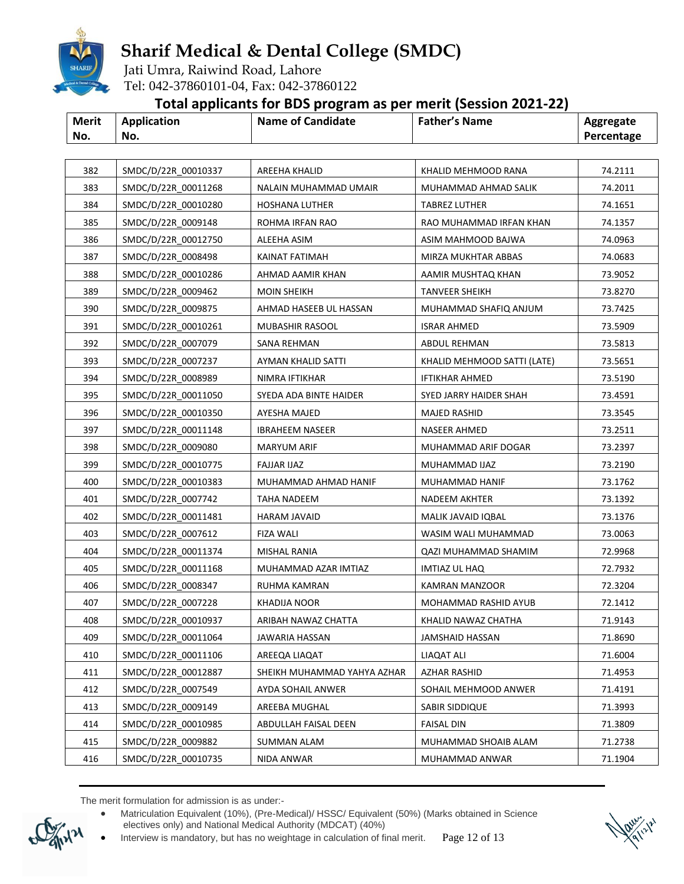

Jati Umra, Raiwind Road, Lahore Tel: 042-37860101-04, Fax: 042-37860122

### **Total applicants for BDS program as per merit (Session 2021-22)**

|              |             | . .               |                      |            |
|--------------|-------------|-------------------|----------------------|------------|
| <b>Merit</b> | Application | Name of Candidate | <b>Father's Name</b> | Aggregate  |
| No.          | No.         |                   |                      | Percentage |

| 382 | SMDC/D/22R 00010337 | <b>AREEHA KHALID</b>        | KHALID MEHMOOD RANA         | 74.2111 |
|-----|---------------------|-----------------------------|-----------------------------|---------|
| 383 | SMDC/D/22R 00011268 | NALAIN MUHAMMAD UMAIR       | MUHAMMAD AHMAD SALIK        | 74.2011 |
| 384 | SMDC/D/22R_00010280 | <b>HOSHANA LUTHER</b>       | <b>TABREZ LUTHER</b>        | 74.1651 |
| 385 | SMDC/D/22R 0009148  | ROHMA IRFAN RAO             | RAO MUHAMMAD IRFAN KHAN     | 74.1357 |
| 386 | SMDC/D/22R 00012750 | ALEEHA ASIM                 | ASIM MAHMOOD BAJWA          | 74.0963 |
| 387 | SMDC/D/22R 0008498  | KAINAT FATIMAH              | MIRZA MUKHTAR ABBAS         | 74.0683 |
| 388 | SMDC/D/22R 00010286 | AHMAD AAMIR KHAN            | AAMIR MUSHTAQ KHAN          | 73.9052 |
| 389 | SMDC/D/22R 0009462  | <b>MOIN SHEIKH</b>          | <b>TANVEER SHEIKH</b>       | 73.8270 |
| 390 | SMDC/D/22R 0009875  | AHMAD HASEEB UL HASSAN      | MUHAMMAD SHAFIQ ANJUM       | 73.7425 |
| 391 | SMDC/D/22R 00010261 | MUBASHIR RASOOL             | <b>ISRAR AHMED</b>          | 73.5909 |
| 392 | SMDC/D/22R 0007079  | <b>SANA REHMAN</b>          | ABDUL REHMAN                | 73.5813 |
| 393 | SMDC/D/22R 0007237  | AYMAN KHALID SATTI          | KHALID MEHMOOD SATTI (LATE) | 73.5651 |
| 394 | SMDC/D/22R_0008989  | NIMRA IFTIKHAR              | <b>IFTIKHAR AHMED</b>       | 73.5190 |
| 395 | SMDC/D/22R 00011050 | SYEDA ADA BINTE HAIDER      | SYED JARRY HAIDER SHAH      | 73.4591 |
| 396 | SMDC/D/22R 00010350 | <b>AYESHA MAJED</b>         | MAJED RASHID                | 73.3545 |
| 397 | SMDC/D/22R 00011148 | <b>IBRAHEEM NASEER</b>      | <b>NASEER AHMED</b>         | 73.2511 |
| 398 | SMDC/D/22R_0009080  | <b>MARYUM ARIF</b>          | MUHAMMAD ARIF DOGAR         | 73.2397 |
| 399 | SMDC/D/22R_00010775 | <b>FAJJAR IJAZ</b>          | MUHAMMAD IJAZ               | 73.2190 |
| 400 | SMDC/D/22R 00010383 | MUHAMMAD AHMAD HANIF        | MUHAMMAD HANIF              | 73.1762 |
| 401 | SMDC/D/22R_0007742  | TAHA NADEEM                 | NADEEM AKHTER               | 73.1392 |
| 402 | SMDC/D/22R_00011481 | <b>HARAM JAVAID</b>         | MALIK JAVAID IQBAL          | 73.1376 |
| 403 | SMDC/D/22R 0007612  | FIZA WALI                   | WASIM WALI MUHAMMAD         | 73.0063 |
| 404 | SMDC/D/22R_00011374 | <b>MISHAL RANIA</b>         | QAZI MUHAMMAD SHAMIM        | 72.9968 |
| 405 | SMDC/D/22R_00011168 | MUHAMMAD AZAR IMTIAZ        | IMTIAZ UL HAQ               | 72.7932 |
| 406 | SMDC/D/22R 0008347  | RUHMA KAMRAN                | KAMRAN MANZOOR              | 72.3204 |
| 407 | SMDC/D/22R 0007228  | KHADIJA NOOR                | MOHAMMAD RASHID AYUB        | 72.1412 |
| 408 | SMDC/D/22R 00010937 | ARIBAH NAWAZ CHATTA         | KHALID NAWAZ CHATHA         | 71.9143 |
| 409 | SMDC/D/22R 00011064 | <b>JAWARIA HASSAN</b>       | <b>JAMSHAID HASSAN</b>      | 71.8690 |
| 410 | SMDC/D/22R 00011106 | AREEQA LIAQAT               | LIAQAT ALI                  | 71.6004 |
| 411 | SMDC/D/22R_00012887 | SHEIKH MUHAMMAD YAHYA AZHAR | AZHAR RASHID                | 71.4953 |
| 412 | SMDC/D/22R 0007549  | AYDA SOHAIL ANWER           | SOHAIL MEHMOOD ANWER        | 71.4191 |
| 413 | SMDC/D/22R 0009149  | AREEBA MUGHAL               | SABIR SIDDIQUE              | 71.3993 |
| 414 | SMDC/D/22R_00010985 | ABDULLAH FAISAL DEEN        | <b>FAISAL DIN</b>           | 71.3809 |
| 415 | SMDC/D/22R 0009882  | SUMMAN ALAM                 | MUHAMMAD SHOAIB ALAM        | 71.2738 |
| 416 | SMDC/D/22R_00010735 | NIDA ANWAR                  | MUHAMMAD ANWAR              | 71.1904 |

 Matriculation Equivalent (10%), (Pre-Medical)/ HSSC/ Equivalent (50%) (Marks obtained in Science electives only) and National Medical Authority (MDCAT) (40%)